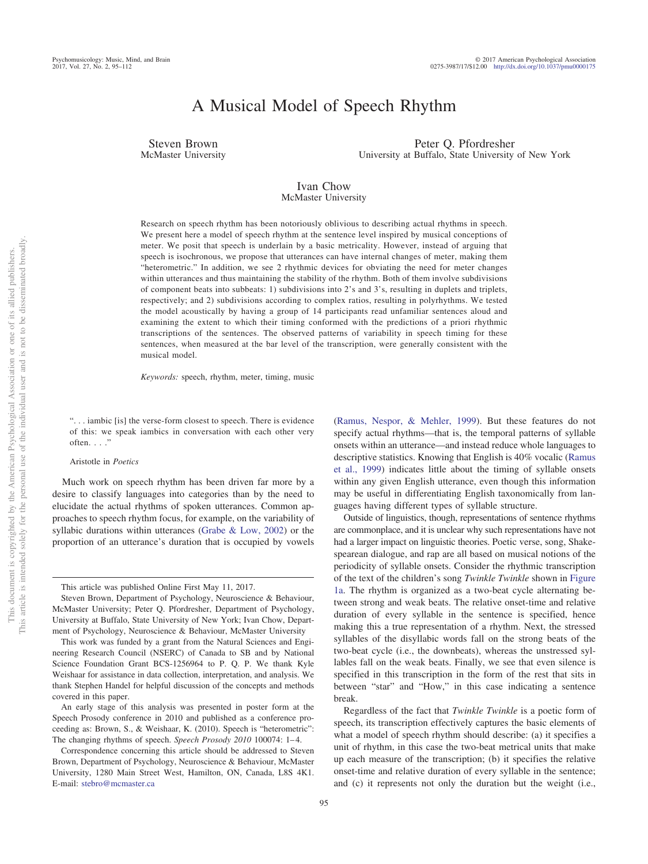# A Musical Model of Speech Rhythm

Steven Brown McMaster University

Peter Q. Pfordresher University at Buffalo, State University of New York

#### Ivan Chow McMaster University

Research on speech rhythm has been notoriously oblivious to describing actual rhythms in speech. We present here a model of speech rhythm at the sentence level inspired by musical conceptions of meter. We posit that speech is underlain by a basic metricality. However, instead of arguing that speech is isochronous, we propose that utterances can have internal changes of meter, making them "heterometric." In addition, we see 2 rhythmic devices for obviating the need for meter changes within utterances and thus maintaining the stability of the rhythm. Both of them involve subdivisions of component beats into subbeats: 1) subdivisions into 2's and 3's, resulting in duplets and triplets, respectively; and 2) subdivisions according to complex ratios, resulting in polyrhythms. We tested the model acoustically by having a group of 14 participants read unfamiliar sentences aloud and examining the extent to which their timing conformed with the predictions of a priori rhythmic transcriptions of the sentences. The observed patterns of variability in speech timing for these sentences, when measured at the bar level of the transcription, were generally consistent with the musical model.

*Keywords:* speech, rhythm, meter, timing, music

". . . iambic [is] the verse-form closest to speech. There is evidence of this: we speak iambics in conversation with each other very often. . . ."

## Aristotle in *Poetics*

Much work on speech rhythm has been driven far more by a desire to classify languages into categories than by the need to elucidate the actual rhythms of spoken utterances. Common approaches to speech rhythm focus, for example, on the variability of syllabic durations within utterances [\(Grabe & Low, 2002\)](#page-16-0) or the proportion of an utterance's duration that is occupied by vowels

specify actual rhythms—that is, the temporal patterns of syllable onsets within an utterance—and instead reduce whole languages to descriptive statistics. Knowing that English is 40% vocalic [\(Ramus](#page-16-1) [et al., 1999\)](#page-16-1) indicates little about the timing of syllable onsets within any given English utterance, even though this information may be useful in differentiating English taxonomically from languages having different types of syllable structure. Outside of linguistics, though, representations of sentence rhythms

[\(Ramus, Nespor, & Mehler, 1999\)](#page-16-1). But these features do not

are commonplace, and it is unclear why such representations have not had a larger impact on linguistic theories. Poetic verse, song, Shakespearean dialogue, and rap are all based on musical notions of the periodicity of syllable onsets. Consider the rhythmic transcription of the text of the children's song *Twinkle Twinkle* shown in [Figure](#page-1-0) [1a.](#page-1-0) The rhythm is organized as a two-beat cycle alternating between strong and weak beats. The relative onset-time and relative duration of every syllable in the sentence is specified, hence making this a true representation of a rhythm. Next, the stressed syllables of the disyllabic words fall on the strong beats of the two-beat cycle (i.e., the downbeats), whereas the unstressed syllables fall on the weak beats. Finally, we see that even silence is specified in this transcription in the form of the rest that sits in between "star" and "How," in this case indicating a sentence break.

Regardless of the fact that *Twinkle Twinkle* is a poetic form of speech, its transcription effectively captures the basic elements of what a model of speech rhythm should describe: (a) it specifies a unit of rhythm, in this case the two-beat metrical units that make up each measure of the transcription; (b) it specifies the relative onset-time and relative duration of every syllable in the sentence; and (c) it represents not only the duration but the weight (i.e.,

This article was published Online First May 11, 2017.

Steven Brown, Department of Psychology, Neuroscience & Behaviour, McMaster University; Peter Q. Pfordresher, Department of Psychology, University at Buffalo, State University of New York; Ivan Chow, Department of Psychology, Neuroscience & Behaviour, McMaster University

This work was funded by a grant from the Natural Sciences and Engineering Research Council (NSERC) of Canada to SB and by National Science Foundation Grant BCS-1256964 to P. Q. P. We thank Kyle Weishaar for assistance in data collection, interpretation, and analysis. We thank Stephen Handel for helpful discussion of the concepts and methods covered in this paper.

An early stage of this analysis was presented in poster form at the Speech Prosody conference in 2010 and published as a conference proceeding as: Brown, S., & Weishaar, K. (2010). Speech is "heterometric": The changing rhythms of speech. *Speech Prosody 2010* 100074: 1-4.

Correspondence concerning this article should be addressed to Steven Brown, Department of Psychology, Neuroscience & Behaviour, McMaster University, 1280 Main Street West, Hamilton, ON, Canada, L8S 4K1. E-mail: [stebro@mcmaster.ca](mailto:stebro@mcmaster.ca)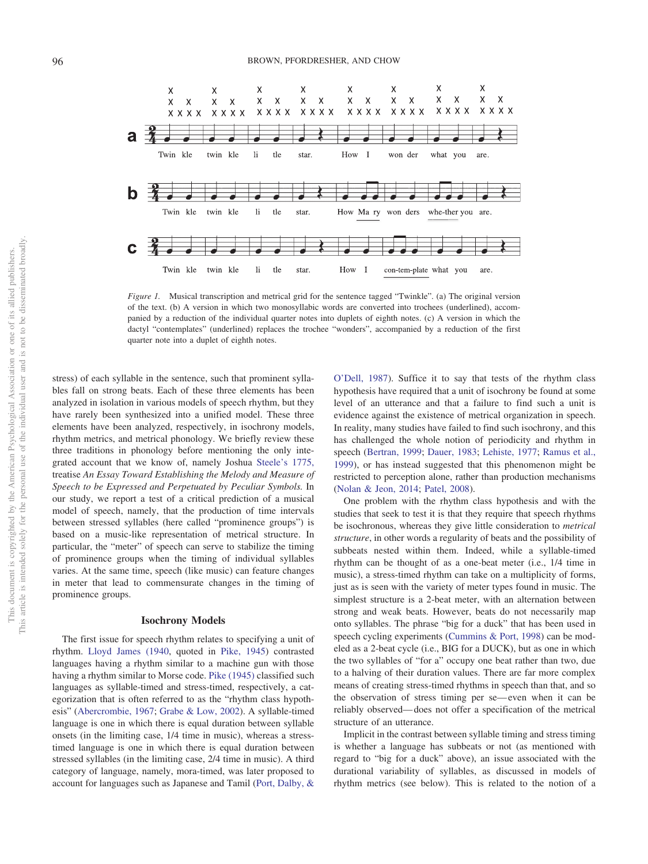96 BROWN, PFORDRESHER, AND CHOW



<span id="page-1-0"></span>*Figure 1.* Musical transcription and metrical grid for the sentence tagged "Twinkle". (a) The original version of the text. (b) A version in which two monosyllabic words are converted into trochees (underlined), accompanied by a reduction of the individual quarter notes into duplets of eighth notes. (c) A version in which the dactyl "contemplates" (underlined) replaces the trochee "wonders", accompanied by a reduction of the first quarter note into a duplet of eighth notes.

stress) of each syllable in the sentence, such that prominent syllables fall on strong beats. Each of these three elements has been analyzed in isolation in various models of speech rhythm, but they have rarely been synthesized into a unified model. These three elements have been analyzed, respectively, in isochrony models, rhythm metrics, and metrical phonology. We briefly review these three traditions in phonology before mentioning the only integrated account that we know of, namely Joshua [Steele's 1775,](#page-16-2) treatise *An Essay Toward Establishing the Melody and Measure of Speech to be Expressed and Perpetuated by Peculiar Symbols.* In our study, we report a test of a critical prediction of a musical model of speech, namely, that the production of time intervals between stressed syllables (here called "prominence groups") is based on a music-like representation of metrical structure. In particular, the "meter" of speech can serve to stabilize the timing of prominence groups when the timing of individual syllables varies. At the same time, speech (like music) can feature changes in meter that lead to commensurate changes in the timing of prominence groups.

#### **Isochrony Models**

The first issue for speech rhythm relates to specifying a unit of rhythm. [Lloyd James \(1940,](#page-16-3) quoted in [Pike, 1945\)](#page-16-4) contrasted languages having a rhythm similar to a machine gun with those having a rhythm similar to Morse code. [Pike \(1945\)](#page-16-4) classified such languages as syllable-timed and stress-timed, respectively, a categorization that is often referred to as the "rhythm class hypothesis" [\(Abercrombie, 1967;](#page-15-0) [Grabe & Low, 2002\)](#page-16-0). A syllable-timed language is one in which there is equal duration between syllable onsets (in the limiting case, 1/4 time in music), whereas a stresstimed language is one in which there is equal duration between stressed syllables (in the limiting case, 2/4 time in music). A third category of language, namely, mora-timed, was later proposed to account for languages such as Japanese and Tamil [\(Port, Dalby, &](#page-16-5)

[O'Dell, 1987\)](#page-16-5). Suffice it to say that tests of the rhythm class hypothesis have required that a unit of isochrony be found at some level of an utterance and that a failure to find such a unit is evidence against the existence of metrical organization in speech. In reality, many studies have failed to find such isochrony, and this has challenged the whole notion of periodicity and rhythm in speech [\(Bertran, 1999;](#page-16-6) [Dauer, 1983;](#page-16-7) [Lehiste, 1977;](#page-16-8) [Ramus et al.,](#page-16-1) [1999\)](#page-16-1), or has instead suggested that this phenomenon might be restricted to perception alone, rather than production mechanisms [\(Nolan & Jeon, 2014;](#page-16-9) [Patel, 2008\)](#page-16-10).

One problem with the rhythm class hypothesis and with the studies that seek to test it is that they require that speech rhythms be isochronous, whereas they give little consideration to *metrical structure*, in other words a regularity of beats and the possibility of subbeats nested within them. Indeed, while a syllable-timed rhythm can be thought of as a one-beat meter (i.e., 1/4 time in music), a stress-timed rhythm can take on a multiplicity of forms, just as is seen with the variety of meter types found in music. The simplest structure is a 2-beat meter, with an alternation between strong and weak beats. However, beats do not necessarily map onto syllables. The phrase "big for a duck" that has been used in speech cycling experiments [\(Cummins & Port, 1998\)](#page-16-11) can be modeled as a 2-beat cycle (i.e., BIG for a DUCK), but as one in which the two syllables of "for a" occupy one beat rather than two, due to a halving of their duration values. There are far more complex means of creating stress-timed rhythms in speech than that, and so the observation of stress timing per se— even when it can be reliably observed— does not offer a specification of the metrical structure of an utterance.

Implicit in the contrast between syllable timing and stress timing is whether a language has subbeats or not (as mentioned with regard to "big for a duck" above), an issue associated with the durational variability of syllables, as discussed in models of rhythm metrics (see below). This is related to the notion of a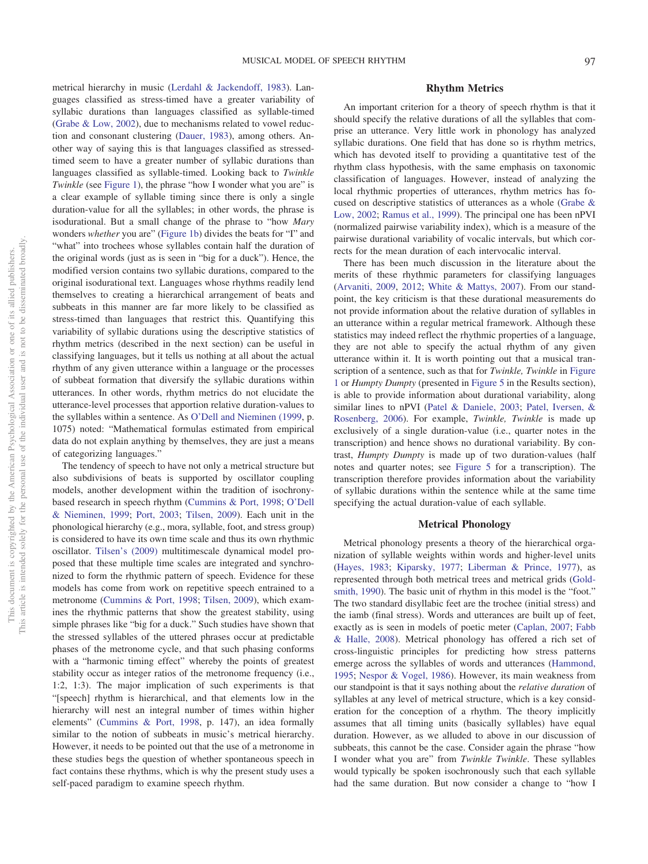metrical hierarchy in music [\(Lerdahl & Jackendoff, 1983\)](#page-16-12). Languages classified as stress-timed have a greater variability of syllabic durations than languages classified as syllable-timed [\(Grabe & Low, 2002\)](#page-16-0), due to mechanisms related to vowel reduction and consonant clustering [\(Dauer, 1983\)](#page-16-7), among others. Another way of saying this is that languages classified as stressedtimed seem to have a greater number of syllabic durations than languages classified as syllable-timed. Looking back to *Twinkle Twinkle* (see [Figure 1\)](#page-1-0), the phrase "how I wonder what you are" is a clear example of syllable timing since there is only a single duration-value for all the syllables; in other words, the phrase is isodurational. But a small change of the phrase to "how *Mary* wonders *whether* you are" [\(Figure 1b\)](#page-1-0) divides the beats for "I" and "what" into trochees whose syllables contain half the duration of the original words (just as is seen in "big for a duck"). Hence, the modified version contains two syllabic durations, compared to the original isodurational text. Languages whose rhythms readily lend themselves to creating a hierarchical arrangement of beats and subbeats in this manner are far more likely to be classified as stress-timed than languages that restrict this. Quantifying this variability of syllabic durations using the descriptive statistics of rhythm metrics (described in the next section) can be useful in classifying languages, but it tells us nothing at all about the actual rhythm of any given utterance within a language or the processes of subbeat formation that diversify the syllabic durations within utterances. In other words, rhythm metrics do not elucidate the utterance-level processes that apportion relative duration-values to the syllables within a sentence. As [O'Dell and Nieminen \(1999,](#page-16-13) p. 1075) noted: "Mathematical formulas estimated from empirical data do not explain anything by themselves, they are just a means of categorizing languages."

The tendency of speech to have not only a metrical structure but also subdivisions of beats is supported by oscillator coupling models, another development within the tradition of isochronybased research in speech rhythm [\(Cummins & Port, 1998;](#page-16-11) [O'Dell](#page-16-13) [& Nieminen, 1999;](#page-16-13) [Port, 2003;](#page-16-14) [Tilsen, 2009\)](#page-17-0). Each unit in the phonological hierarchy (e.g., mora, syllable, foot, and stress group) is considered to have its own time scale and thus its own rhythmic oscillator. [Tilsen's \(2009\)](#page-17-0) multitimescale dynamical model proposed that these multiple time scales are integrated and synchronized to form the rhythmic pattern of speech. Evidence for these models has come from work on repetitive speech entrained to a metronome [\(Cummins & Port, 1998;](#page-16-11) [Tilsen, 2009\)](#page-17-0), which examines the rhythmic patterns that show the greatest stability, using simple phrases like "big for a duck." Such studies have shown that the stressed syllables of the uttered phrases occur at predictable phases of the metronome cycle, and that such phasing conforms with a "harmonic timing effect" whereby the points of greatest stability occur as integer ratios of the metronome frequency (i.e., 1:2, 1:3). The major implication of such experiments is that "[speech] rhythm is hierarchical, and that elements low in the hierarchy will nest an integral number of times within higher elements" [\(Cummins & Port, 1998,](#page-16-11) p. 147), an idea formally similar to the notion of subbeats in music's metrical hierarchy. However, it needs to be pointed out that the use of a metronome in these studies begs the question of whether spontaneous speech in fact contains these rhythms, which is why the present study uses a self-paced paradigm to examine speech rhythm.

## **Rhythm Metrics**

An important criterion for a theory of speech rhythm is that it should specify the relative durations of all the syllables that comprise an utterance. Very little work in phonology has analyzed syllabic durations. One field that has done so is rhythm metrics, which has devoted itself to providing a quantitative test of the rhythm class hypothesis, with the same emphasis on taxonomic classification of languages. However, instead of analyzing the local rhythmic properties of utterances, rhythm metrics has focused on descriptive statistics of utterances as a whole [\(Grabe &](#page-16-0) [Low, 2002;](#page-16-0) [Ramus et al., 1999\)](#page-16-1). The principal one has been nPVI (normalized pairwise variability index), which is a measure of the pairwise durational variability of vocalic intervals, but which corrects for the mean duration of each intervocalic interval.

There has been much discussion in the literature about the merits of these rhythmic parameters for classifying languages [\(Arvaniti, 2009,](#page-16-15) [2012;](#page-16-16) [White & Mattys, 2007\)](#page-17-1). From our standpoint, the key criticism is that these durational measurements do not provide information about the relative duration of syllables in an utterance within a regular metrical framework. Although these statistics may indeed reflect the rhythmic properties of a language, they are not able to specify the actual rhythm of any given utterance within it. It is worth pointing out that a musical transcription of a sentence, such as that for *Twinkle, Twinkle* in [Figure](#page-1-0) [1](#page-1-0) or *Humpty Dumpty* (presented in [Figure 5](#page-9-0) in the Results section), is able to provide information about durational variability, along similar lines to nPVI [\(Patel & Daniele, 2003;](#page-16-17) [Patel, Iversen, &](#page-16-18) [Rosenberg, 2006\)](#page-16-18). For example, *Twinkle, Twinkle* is made up exclusively of a single duration-value (i.e., quarter notes in the transcription) and hence shows no durational variability. By contrast, *Humpty Dumpty* is made up of two duration-values (half notes and quarter notes; see [Figure 5](#page-9-0) for a transcription). The transcription therefore provides information about the variability of syllabic durations within the sentence while at the same time specifying the actual duration-value of each syllable.

## **Metrical Phonology**

Metrical phonology presents a theory of the hierarchical organization of syllable weights within words and higher-level units [\(Hayes, 1983;](#page-16-19) [Kiparsky, 1977;](#page-16-20) [Liberman & Prince, 1977\)](#page-16-21), as represented through both metrical trees and metrical grids [\(Gold](#page-16-22)[smith, 1990\)](#page-16-22). The basic unit of rhythm in this model is the "foot." The two standard disyllabic feet are the trochee (initial stress) and the iamb (final stress). Words and utterances are built up of feet, exactly as is seen in models of poetic meter [\(Caplan, 2007;](#page-16-23) [Fabb](#page-16-24) [& Halle, 2008\)](#page-16-24). Metrical phonology has offered a rich set of cross-linguistic principles for predicting how stress patterns emerge across the syllables of words and utterances [\(Hammond,](#page-16-25) [1995;](#page-16-25) [Nespor & Vogel, 1986\)](#page-16-26). However, its main weakness from our standpoint is that it says nothing about the *relative duration* of syllables at any level of metrical structure, which is a key consideration for the conception of a rhythm. The theory implicitly assumes that all timing units (basically syllables) have equal duration. However, as we alluded to above in our discussion of subbeats, this cannot be the case. Consider again the phrase "how I wonder what you are" from *Twinkle Twinkle*. These syllables would typically be spoken isochronously such that each syllable had the same duration. But now consider a change to "how I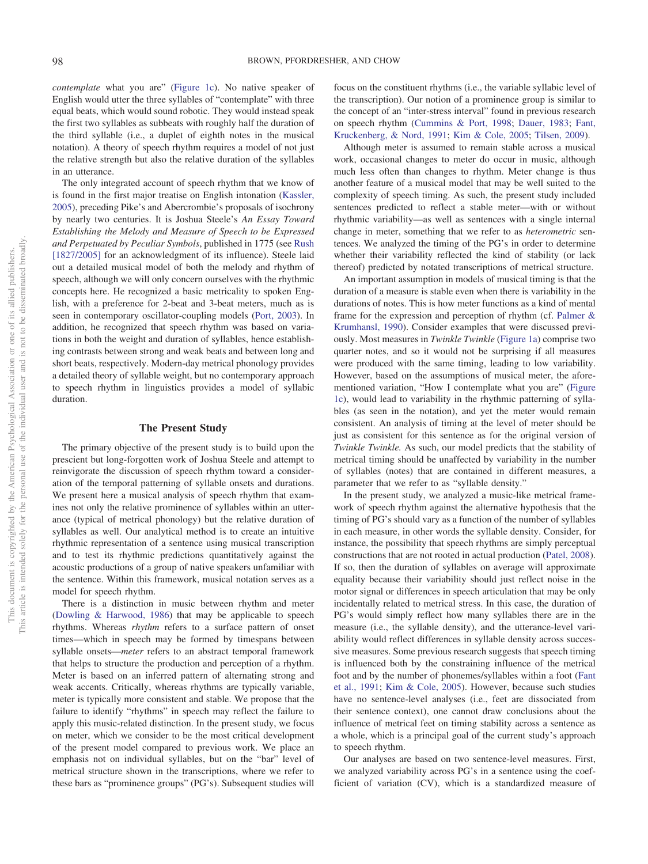*contemplate* what you are" [\(Figure 1c\)](#page-1-0). No native speaker of English would utter the three syllables of "contemplate" with three equal beats, which would sound robotic. They would instead speak the first two syllables as subbeats with roughly half the duration of the third syllable (i.e., a duplet of eighth notes in the musical notation). A theory of speech rhythm requires a model of not just the relative strength but also the relative duration of the syllables in an utterance.

The only integrated account of speech rhythm that we know of is found in the first major treatise on English intonation [\(Kassler,](#page-16-27) [2005\)](#page-16-27), preceding Pike's and Abercrombie's proposals of isochrony by nearly two centuries. It is Joshua Steele's *An Essay Toward Establishing the Melody and Measure of Speech to be Expressed and Perpetuated by Peculiar Symbols*, published in 1775 (see [Rush](#page-16-28) [\[1827/2005\]](#page-16-28) for an acknowledgment of its influence). Steele laid out a detailed musical model of both the melody and rhythm of speech, although we will only concern ourselves with the rhythmic concepts here. He recognized a basic metricality to spoken English, with a preference for 2-beat and 3-beat meters, much as is seen in contemporary oscillator-coupling models [\(Port, 2003\)](#page-16-14). In addition, he recognized that speech rhythm was based on variations in both the weight and duration of syllables, hence establishing contrasts between strong and weak beats and between long and short beats, respectively. Modern-day metrical phonology provides a detailed theory of syllable weight, but no contemporary approach to speech rhythm in linguistics provides a model of syllabic duration.

### **The Present Study**

The primary objective of the present study is to build upon the prescient but long-forgotten work of Joshua Steele and attempt to reinvigorate the discussion of speech rhythm toward a consideration of the temporal patterning of syllable onsets and durations. We present here a musical analysis of speech rhythm that examines not only the relative prominence of syllables within an utterance (typical of metrical phonology) but the relative duration of syllables as well. Our analytical method is to create an intuitive rhythmic representation of a sentence using musical transcription and to test its rhythmic predictions quantitatively against the acoustic productions of a group of native speakers unfamiliar with the sentence. Within this framework, musical notation serves as a model for speech rhythm.

There is a distinction in music between rhythm and meter [\(Dowling & Harwood, 1986\)](#page-16-29) that may be applicable to speech rhythms. Whereas *rhythm* refers to a surface pattern of onset times—which in speech may be formed by timespans between syllable onsets—*meter* refers to an abstract temporal framework that helps to structure the production and perception of a rhythm. Meter is based on an inferred pattern of alternating strong and weak accents. Critically, whereas rhythms are typically variable, meter is typically more consistent and stable. We propose that the failure to identify "rhythms" in speech may reflect the failure to apply this music-related distinction. In the present study, we focus on meter, which we consider to be the most critical development of the present model compared to previous work. We place an emphasis not on individual syllables, but on the "bar" level of metrical structure shown in the transcriptions, where we refer to these bars as "prominence groups" (PG's). Subsequent studies will

focus on the constituent rhythms (i.e., the variable syllabic level of the transcription). Our notion of a prominence group is similar to the concept of an "inter-stress interval" found in previous research on speech rhythm [\(Cummins & Port, 1998;](#page-16-11) [Dauer, 1983;](#page-16-7) [Fant,](#page-16-30) [Kruckenberg, & Nord, 1991;](#page-16-30) [Kim & Cole, 2005;](#page-16-31) [Tilsen, 2009\)](#page-17-0).

Although meter is assumed to remain stable across a musical work, occasional changes to meter do occur in music, although much less often than changes to rhythm. Meter change is thus another feature of a musical model that may be well suited to the complexity of speech timing. As such, the present study included sentences predicted to reflect a stable meter—with or without rhythmic variability—as well as sentences with a single internal change in meter, something that we refer to as *heterometric* sentences. We analyzed the timing of the PG's in order to determine whether their variability reflected the kind of stability (or lack thereof) predicted by notated transcriptions of metrical structure.

An important assumption in models of musical timing is that the duration of a measure is stable even when there is variability in the durations of notes. This is how meter functions as a kind of mental frame for the expression and perception of rhythm (cf. [Palmer &](#page-16-32) [Krumhansl, 1990\)](#page-16-32). Consider examples that were discussed previously. Most measures in *Twinkle Twinkle* [\(Figure 1a\)](#page-1-0) comprise two quarter notes, and so it would not be surprising if all measures were produced with the same timing, leading to low variability. However, based on the assumptions of musical meter, the aforementioned variation, "How I contemplate what you are" [\(Figure](#page-1-0) [1c\)](#page-1-0), would lead to variability in the rhythmic patterning of syllables (as seen in the notation), and yet the meter would remain consistent. An analysis of timing at the level of meter should be just as consistent for this sentence as for the original version of *Twinkle Twinkle.* As such, our model predicts that the stability of metrical timing should be unaffected by variability in the number of syllables (notes) that are contained in different measures, a parameter that we refer to as "syllable density."

In the present study, we analyzed a music-like metrical framework of speech rhythm against the alternative hypothesis that the timing of PG's should vary as a function of the number of syllables in each measure, in other words the syllable density. Consider, for instance, the possibility that speech rhythms are simply perceptual constructions that are not rooted in actual production [\(Patel, 2008\)](#page-16-10). If so, then the duration of syllables on average will approximate equality because their variability should just reflect noise in the motor signal or differences in speech articulation that may be only incidentally related to metrical stress. In this case, the duration of PG's would simply reflect how many syllables there are in the measure (i.e., the syllable density), and the utterance-level variability would reflect differences in syllable density across successive measures. Some previous research suggests that speech timing is influenced both by the constraining influence of the metrical foot and by the number of phonemes/syllables within a foot [\(Fant](#page-16-30) [et al., 1991;](#page-16-30) [Kim & Cole, 2005\)](#page-16-31). However, because such studies have no sentence-level analyses (i.e., feet are dissociated from their sentence context), one cannot draw conclusions about the influence of metrical feet on timing stability across a sentence as a whole, which is a principal goal of the current study's approach to speech rhythm.

Our analyses are based on two sentence-level measures. First, we analyzed variability across PG's in a sentence using the coefficient of variation (CV), which is a standardized measure of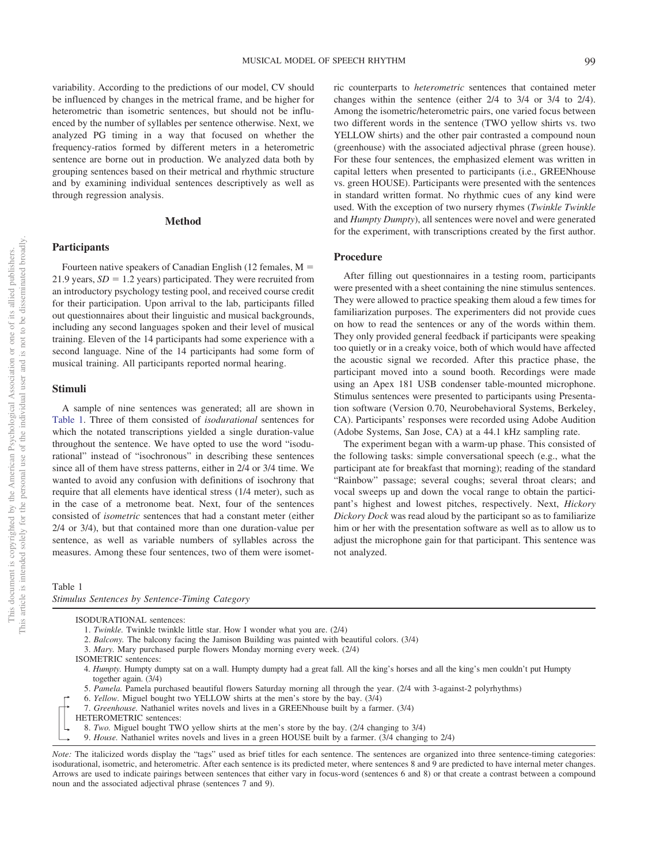variability. According to the predictions of our model, CV should be influenced by changes in the metrical frame, and be higher for heterometric than isometric sentences, but should not be influenced by the number of syllables per sentence otherwise. Next, we analyzed PG timing in a way that focused on whether the frequency-ratios formed by different meters in a heterometric sentence are borne out in production. We analyzed data both by grouping sentences based on their metrical and rhythmic structure and by examining individual sentences descriptively as well as through regression analysis.

#### **Method**

#### **Participants**

Fourteen native speakers of Canadian English (12 females,  $M =$ 21.9 years,  $SD = 1.2$  years) participated. They were recruited from an introductory psychology testing pool, and received course credit for their participation. Upon arrival to the lab, participants filled out questionnaires about their linguistic and musical backgrounds, including any second languages spoken and their level of musical training. Eleven of the 14 participants had some experience with a second language. Nine of the 14 participants had some form of musical training. All participants reported normal hearing.

# **Stimuli**

A sample of nine sentences was generated; all are shown in [Table 1.](#page-4-0) Three of them consisted of *isodurational* sentences for which the notated transcriptions yielded a single duration-value throughout the sentence. We have opted to use the word "isodurational" instead of "isochronous" in describing these sentences since all of them have stress patterns, either in 2/4 or 3/4 time. We wanted to avoid any confusion with definitions of isochrony that require that all elements have identical stress (1/4 meter), such as in the case of a metronome beat. Next, four of the sentences consisted of *isometric* sentences that had a constant meter (either 2/4 or 3/4), but that contained more than one duration-value per sentence, as well as variable numbers of syllables across the measures. Among these four sentences, two of them were isometric counterparts to *heterometric* sentences that contained meter changes within the sentence (either 2/4 to 3/4 or 3/4 to 2/4). Among the isometric/heterometric pairs, one varied focus between two different words in the sentence (TWO yellow shirts vs. two YELLOW shirts) and the other pair contrasted a compound noun (greenhouse) with the associated adjectival phrase (green house). For these four sentences, the emphasized element was written in capital letters when presented to participants (i.e., GREENhouse vs. green HOUSE). Participants were presented with the sentences in standard written format. No rhythmic cues of any kind were used. With the exception of two nursery rhymes (*Twinkle Twinkle* and *Humpty Dumpty*), all sentences were novel and were generated for the experiment, with transcriptions created by the first author.

## **Procedure**

After filling out questionnaires in a testing room, participants were presented with a sheet containing the nine stimulus sentences. They were allowed to practice speaking them aloud a few times for familiarization purposes. The experimenters did not provide cues on how to read the sentences or any of the words within them. They only provided general feedback if participants were speaking too quietly or in a creaky voice, both of which would have affected the acoustic signal we recorded. After this practice phase, the participant moved into a sound booth. Recordings were made using an Apex 181 USB condenser table-mounted microphone. Stimulus sentences were presented to participants using Presentation software (Version 0.70, Neurobehavioral Systems, Berkeley, CA). Participants' responses were recorded using Adobe Audition (Adobe Systems, San Jose, CA) at a 44.1 kHz sampling rate.

The experiment began with a warm-up phase. This consisted of the following tasks: simple conversational speech (e.g., what the participant ate for breakfast that morning); reading of the standard "Rainbow" passage; several coughs; several throat clears; and vocal sweeps up and down the vocal range to obtain the participant's highest and lowest pitches, respectively. Next, *Hickory Dickory Dock* was read aloud by the participant so as to familiarize him or her with the presentation software as well as to allow us to adjust the microphone gain for that participant. This sentence was not analyzed.

<span id="page-4-0"></span>Table 1

*Stimulus Sentences by Sentence-Timing Category*

ISODURATIONAL sentences:

- 1. *Twinkle.* Twinkle twinkle little star. How I wonder what you are. (2/4)
- 2. *Balcony.* The balcony facing the Jamison Building was painted with beautiful colors. (3/4)
- 3. *Mary.* Mary purchased purple flowers Monday morning every week. (2/4)
- ISOMETRIC sentences:
- 4. *Humpty.* Humpty dumpty sat on a wall. Humpty dumpty had a great fall. All the king's horses and all the king's men couldn't put Humpty together again. (3/4)
- 5. *Pamela.* Pamela purchased beautiful flowers Saturday morning all through the year. (2/4 with 3-against-2 polyrhythms)
- 6. *Yellow.* Miguel bought two YELLOW shirts at the men's store by the bay. (3/4)
- 7. *Greenhouse.* Nathaniel writes novels and lives in a GREENhouse built by a farmer. (3/4)
- HETEROMETRIC sentences:
- 8. *Two.* Miguel bought TWO yellow shirts at the men's store by the bay. (2/4 changing to 3/4)
- 9. *House.* Nathaniel writes novels and lives in a green HOUSE built by a farmer. (3/4 changing to 2/4)
- *Note:* The italicized words display the "tags" used as brief titles for each sentence. The sentences are organized into three sentence-timing categories: isodurational, isometric, and heterometric. After each sentence is its predicted meter, where sentences 8 and 9 are predicted to have internal meter changes. Arrows are used to indicate pairings between sentences that either vary in focus-word (sentences 6 and 8) or that create a contrast between a compound noun and the associated adjectival phrase (sentences 7 and 9).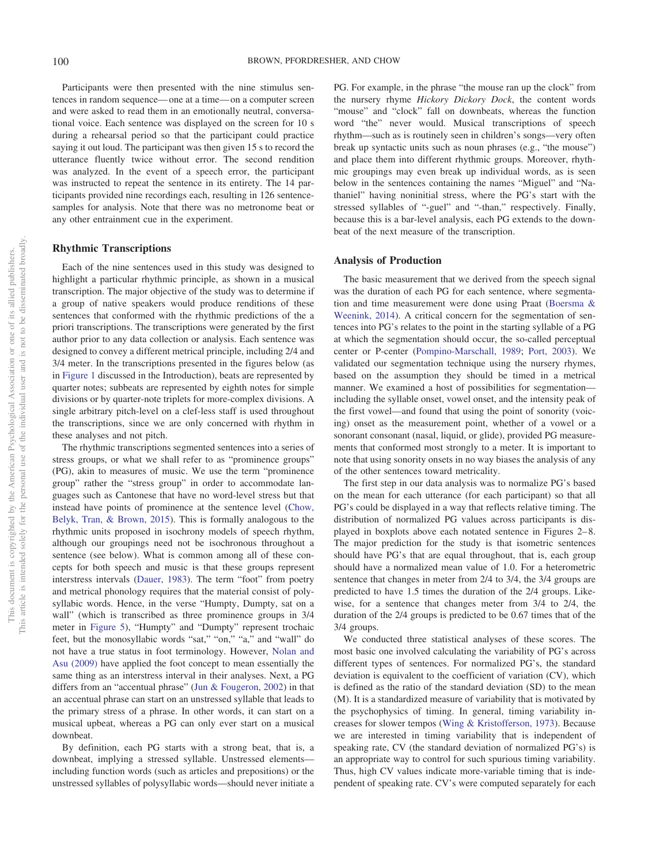Participants were then presented with the nine stimulus sentences in random sequence— one at a time— on a computer screen and were asked to read them in an emotionally neutral, conversational voice. Each sentence was displayed on the screen for 10 s during a rehearsal period so that the participant could practice saying it out loud. The participant was then given 15 s to record the utterance fluently twice without error. The second rendition was analyzed. In the event of a speech error, the participant was instructed to repeat the sentence in its entirety. The 14 participants provided nine recordings each, resulting in 126 sentencesamples for analysis. Note that there was no metronome beat or any other entrainment cue in the experiment.

## **Rhythmic Transcriptions**

Each of the nine sentences used in this study was designed to highlight a particular rhythmic principle, as shown in a musical transcription. The major objective of the study was to determine if a group of native speakers would produce renditions of these sentences that conformed with the rhythmic predictions of the a priori transcriptions. The transcriptions were generated by the first author prior to any data collection or analysis. Each sentence was designed to convey a different metrical principle, including 2/4 and 3/4 meter. In the transcriptions presented in the figures below (as in [Figure 1](#page-1-0) discussed in the Introduction), beats are represented by quarter notes; subbeats are represented by eighth notes for simple divisions or by quarter-note triplets for more-complex divisions. A single arbitrary pitch-level on a clef-less staff is used throughout the transcriptions, since we are only concerned with rhythm in these analyses and not pitch.

The rhythmic transcriptions segmented sentences into a series of stress groups, or what we shall refer to as "prominence groups" (PG), akin to measures of music. We use the term "prominence group" rather the "stress group" in order to accommodate languages such as Cantonese that have no word-level stress but that instead have points of prominence at the sentence level [\(Chow,](#page-16-33) [Belyk, Tran, & Brown, 2015\)](#page-16-33). This is formally analogous to the rhythmic units proposed in isochrony models of speech rhythm, although our groupings need not be isochronous throughout a sentence (see below). What is common among all of these concepts for both speech and music is that these groups represent interstress intervals [\(Dauer, 1983\)](#page-16-7). The term "foot" from poetry and metrical phonology requires that the material consist of polysyllabic words. Hence, in the verse "Humpty, Dumpty, sat on a wall" (which is transcribed as three prominence groups in 3/4 meter in [Figure 5\)](#page-9-0), "Humpty" and "Dumpty" represent trochaic feet, but the monosyllabic words "sat," "on," "a," and "wall" do not have a true status in foot terminology. However, [Nolan and](#page-16-34) [Asu \(2009\)](#page-16-34) have applied the foot concept to mean essentially the same thing as an interstress interval in their analyses. Next, a PG differs from an "accentual phrase" [\(Jun & Fougeron, 2002\)](#page-16-35) in that an accentual phrase can start on an unstressed syllable that leads to the primary stress of a phrase. In other words, it can start on a musical upbeat, whereas a PG can only ever start on a musical downbeat.

By definition, each PG starts with a strong beat, that is, a downbeat, implying a stressed syllable. Unstressed elements including function words (such as articles and prepositions) or the unstressed syllables of polysyllabic words—should never initiate a PG. For example, in the phrase "the mouse ran up the clock" from the nursery rhyme *Hickory Dickory Dock*, the content words "mouse" and "clock" fall on downbeats, whereas the function word "the" never would. Musical transcriptions of speech rhythm—such as is routinely seen in children's songs—very often break up syntactic units such as noun phrases (e.g., "the mouse") and place them into different rhythmic groups. Moreover, rhythmic groupings may even break up individual words, as is seen below in the sentences containing the names "Miguel" and "Nathaniel" having noninitial stress, where the PG's start with the stressed syllables of "-guel" and "-than," respectively. Finally, because this is a bar-level analysis, each PG extends to the downbeat of the next measure of the transcription.

#### **Analysis of Production**

The basic measurement that we derived from the speech signal was the duration of each PG for each sentence, where segmentation and time measurement were done using Praat [\(Boersma &](#page-16-36) [Weenink, 2014\)](#page-16-36). A critical concern for the segmentation of sentences into PG's relates to the point in the starting syllable of a PG at which the segmentation should occur, the so-called perceptual center or P-center [\(Pompino-Marschall, 1989;](#page-16-37) [Port, 2003\)](#page-16-14). We validated our segmentation technique using the nursery rhymes, based on the assumption they should be timed in a metrical manner. We examined a host of possibilities for segmentation including the syllable onset, vowel onset, and the intensity peak of the first vowel—and found that using the point of sonority (voicing) onset as the measurement point, whether of a vowel or a sonorant consonant (nasal, liquid, or glide), provided PG measurements that conformed most strongly to a meter. It is important to note that using sonority onsets in no way biases the analysis of any of the other sentences toward metricality.

The first step in our data analysis was to normalize PG's based on the mean for each utterance (for each participant) so that all PG's could be displayed in a way that reflects relative timing. The distribution of normalized PG values across participants is displayed in boxplots above each notated sentence in Figures 2– 8. The major prediction for the study is that isometric sentences should have PG's that are equal throughout, that is, each group should have a normalized mean value of 1.0. For a heterometric sentence that changes in meter from 2/4 to 3/4, the 3/4 groups are predicted to have 1.5 times the duration of the 2/4 groups. Likewise, for a sentence that changes meter from 3/4 to 2/4, the duration of the 2/4 groups is predicted to be 0.67 times that of the 3/4 groups.

We conducted three statistical analyses of these scores. The most basic one involved calculating the variability of PG's across different types of sentences. For normalized PG's, the standard deviation is equivalent to the coefficient of variation (CV), which is defined as the ratio of the standard deviation (SD) to the mean (M). It is a standardized measure of variability that is motivated by the psychophysics of timing. In general, timing variability increases for slower tempos [\(Wing & Kristofferson, 1973\)](#page-17-2). Because we are interested in timing variability that is independent of speaking rate, CV (the standard deviation of normalized PG's) is an appropriate way to control for such spurious timing variability. Thus, high CV values indicate more-variable timing that is independent of speaking rate. CV's were computed separately for each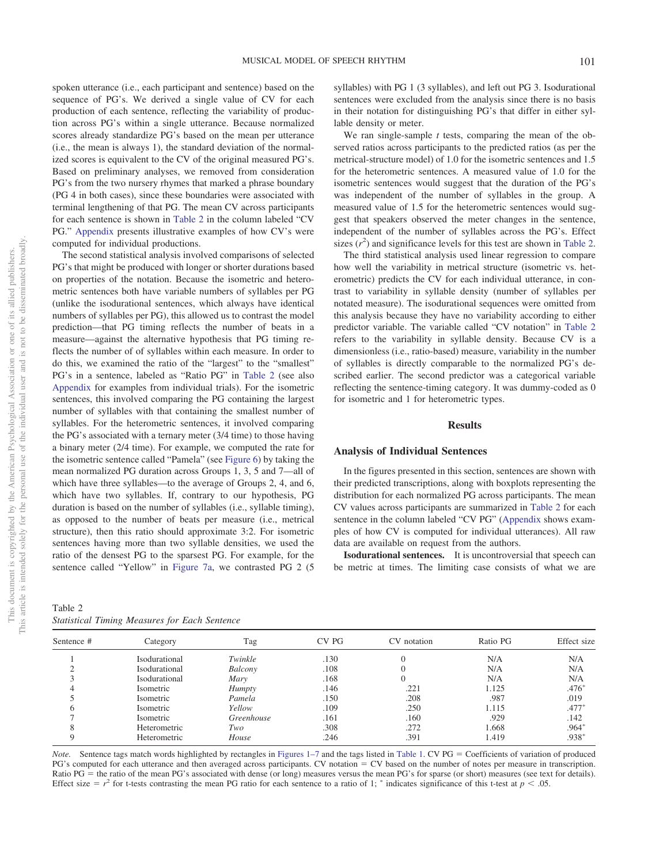spoken utterance (i.e., each participant and sentence) based on the sequence of PG's. We derived a single value of CV for each production of each sentence, reflecting the variability of production across PG's within a single utterance. Because normalized scores already standardize PG's based on the mean per utterance (i.e., the mean is always 1), the standard deviation of the normalized scores is equivalent to the CV of the original measured PG's. Based on preliminary analyses, we removed from consideration PG's from the two nursery rhymes that marked a phrase boundary (PG 4 in both cases), since these boundaries were associated with terminal lengthening of that PG. The mean CV across participants for each sentence is shown in [Table 2](#page-6-0) in the column labeled "CV PG." [Appendix](#page-17-3) presents illustrative examples of how CV's were computed for individual productions.

The second statistical analysis involved comparisons of selected PG's that might be produced with longer or shorter durations based on properties of the notation. Because the isometric and heterometric sentences both have variable numbers of syllables per PG (unlike the isodurational sentences, which always have identical numbers of syllables per PG), this allowed us to contrast the model prediction—that PG timing reflects the number of beats in a measure—against the alternative hypothesis that PG timing reflects the number of of syllables within each measure. In order to do this, we examined the ratio of the "largest" to the "smallest" PG's in a sentence, labeled as "Ratio PG" in [Table 2](#page-6-0) (see also [Appendix](#page-17-3) for examples from individual trials). For the isometric sentences, this involved comparing the PG containing the largest number of syllables with that containing the smallest number of syllables. For the heterometric sentences, it involved comparing the PG's associated with a ternary meter (3/4 time) to those having a binary meter (2/4 time). For example, we computed the rate for the isometric sentence called "Pamela" (see [Figure 6\)](#page-9-1) by taking the mean normalized PG duration across Groups 1, 3, 5 and 7—all of which have three syllables—to the average of Groups 2, 4, and 6, which have two syllables. If, contrary to our hypothesis, PG duration is based on the number of syllables (i.e., syllable timing), as opposed to the number of beats per measure (i.e., metrical structure), then this ratio should approximate 3:2. For isometric sentences having more than two syllable densities, we used the ratio of the densest PG to the sparsest PG. For example, for the sentence called "Yellow" in [Figure 7a,](#page-10-0) we contrasted PG 2 (5

<span id="page-6-0"></span>

| Table 2                                              |  |  |  |
|------------------------------------------------------|--|--|--|
| <b>Statistical Timing Measures for Each Sentence</b> |  |  |  |

syllables) with PG 1 (3 syllables), and left out PG 3. Isodurational sentences were excluded from the analysis since there is no basis in their notation for distinguishing PG's that differ in either syllable density or meter.

We ran single-sample *t* tests, comparing the mean of the observed ratios across participants to the predicted ratios (as per the metrical-structure model) of 1.0 for the isometric sentences and 1.5 for the heterometric sentences. A measured value of 1.0 for the isometric sentences would suggest that the duration of the PG's was independent of the number of syllables in the group. A measured value of 1.5 for the heterometric sentences would suggest that speakers observed the meter changes in the sentence, independent of the number of syllables across the PG's. Effect sizes  $(r^2)$  and significance levels for this test are shown in [Table 2.](#page-6-0)

The third statistical analysis used linear regression to compare how well the variability in metrical structure (isometric vs. heterometric) predicts the CV for each individual utterance, in contrast to variability in syllable density (number of syllables per notated measure). The isodurational sequences were omitted from this analysis because they have no variability according to either predictor variable. The variable called "CV notation" in [Table 2](#page-6-0) refers to the variability in syllable density. Because CV is a dimensionless (i.e., ratio-based) measure, variability in the number of syllables is directly comparable to the normalized PG's described earlier. The second predictor was a categorical variable reflecting the sentence-timing category. It was dummy-coded as 0 for isometric and 1 for heterometric types.

#### **Results**

#### **Analysis of Individual Sentences**

In the figures presented in this section, sentences are shown with their predicted transcriptions, along with boxplots representing the distribution for each normalized PG across participants. The mean CV values across participants are summarized in [Table 2](#page-6-0) for each sentence in the column labeled "CV PG" [\(Appendix](#page-17-3) shows examples of how CV is computed for individual utterances). All raw data are available on request from the authors.

**Isodurational sentences.** It is uncontroversial that speech can be metric at times. The limiting case consists of what we are

| Sentence # | Category      | Tag           | CV PG | CV notation | Ratio PG | Effect size |
|------------|---------------|---------------|-------|-------------|----------|-------------|
|            | Isodurational | Twinkle       | .130  |             | N/A      | N/A         |
|            | Isodurational | Balcony       | .108  |             | N/A      | N/A         |
|            | Isodurational | Mary          | .168  |             | N/A      | N/A         |
|            | Isometric     | <b>Humpty</b> | .146  | .221        | 1.125    | $.476*$     |
|            | Isometric     | Pamela        | .150  | .208        | .987     | .019        |
| h          | Isometric     | Yellow        | .109  | .250        | 1.115    | $.477*$     |
|            | Isometric     | Greenhouse    | .161  | .160        | .929     | .142        |
|            | Heterometric  | Two           | .308  | .272        | 1.668    | $.964*$     |
| Q          | Heterometric  | House         | .246  | .391        | 1.419    | $.938*$     |

Note. Sentence tags match words highlighted by rectangles in [Figures 1–7](#page-1-0) and the tags listed in [Table 1.](#page-4-0) CV PG = Coefficients of variation of produced PG's computed for each utterance and then averaged across participants. CV notation = CV based on the number of notes per measure in transcription. Ratio PG = the ratio of the mean PG's associated with dense (or long) measures versus the mean PG's for sparse (or short) measures (see text for details). Effect size =  $r^2$  for t-tests contrasting the mean PG ratio for each sentence to a ratio of 1; \* indicates significance of this t-test at  $p < .05$ .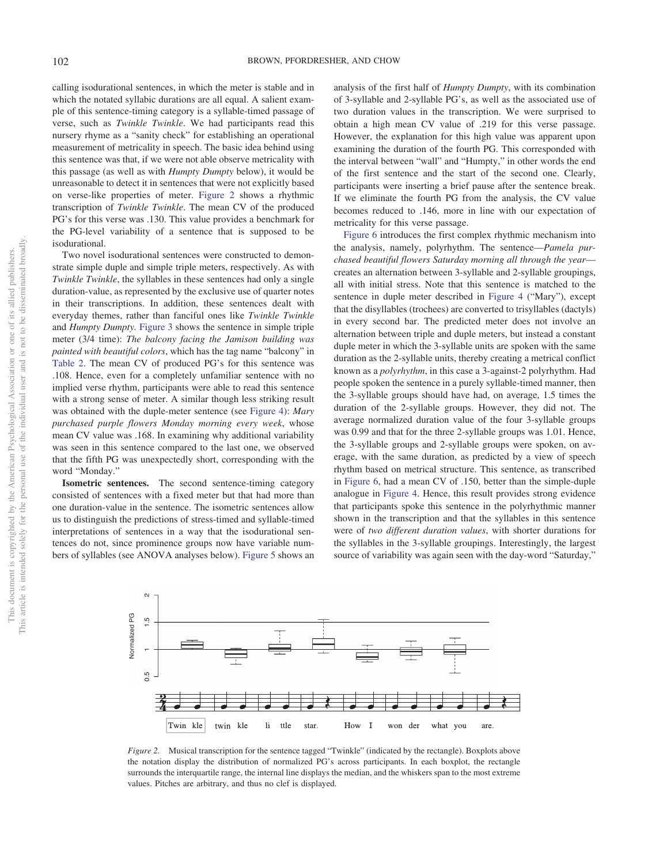calling isodurational sentences, in which the meter is stable and in which the notated syllabic durations are all equal. A salient example of this sentence-timing category is a syllable-timed passage of verse, such as *Twinkle Twinkle*. We had participants read this nursery rhyme as a "sanity check" for establishing an operational measurement of metricality in speech. The basic idea behind using this sentence was that, if we were not able observe metricality with this passage (as well as with *Humpty Dumpty* below), it would be unreasonable to detect it in sentences that were not explicitly based on verse-like properties of meter. [Figure 2](#page-7-0) shows a rhythmic transcription of *Twinkle Twinkle*. The mean CV of the produced PG's for this verse was .130. This value provides a benchmark for the PG-level variability of a sentence that is supposed to be isodurational.

Two novel isodurational sentences were constructed to demonstrate simple duple and simple triple meters, respectively. As with *Twinkle Twinkle*, the syllables in these sentences had only a single duration-value, as represented by the exclusive use of quarter notes in their transcriptions. In addition, these sentences dealt with everyday themes, rather than fanciful ones like *Twinkle Twinkle* and *Humpty Dumpty.* [Figure 3](#page-8-0) shows the sentence in simple triple meter (3/4 time): *The balcony facing the Jamison building was painted with beautiful colors*, which has the tag name "balcony" in [Table 2.](#page-6-0) The mean CV of produced PG's for this sentence was .108. Hence, even for a completely unfamiliar sentence with no implied verse rhythm, participants were able to read this sentence with a strong sense of meter. A similar though less striking result was obtained with the duple-meter sentence (see [Figure 4\)](#page-8-1): *Mary purchased purple flowers Monday morning every week*, whose mean CV value was .168. In examining why additional variability was seen in this sentence compared to the last one, we observed that the fifth PG was unexpectedly short, corresponding with the word "Monday."

**Isometric sentences.** The second sentence-timing category consisted of sentences with a fixed meter but that had more than one duration-value in the sentence. The isometric sentences allow us to distinguish the predictions of stress-timed and syllable-timed interpretations of sentences in a way that the isodurational sentences do not, since prominence groups now have variable numbers of syllables (see ANOVA analyses below). [Figure 5](#page-9-0) shows an

analysis of the first half of *Humpty Dumpty*, with its combination of 3-syllable and 2-syllable PG's, as well as the associated use of two duration values in the transcription. We were surprised to obtain a high mean CV value of .219 for this verse passage. However, the explanation for this high value was apparent upon examining the duration of the fourth PG. This corresponded with the interval between "wall" and "Humpty," in other words the end of the first sentence and the start of the second one. Clearly, participants were inserting a brief pause after the sentence break. If we eliminate the fourth PG from the analysis, the CV value becomes reduced to .146, more in line with our expectation of metricality for this verse passage.

[Figure 6](#page-9-1) introduces the first complex rhythmic mechanism into the analysis, namely, polyrhythm. The sentence—*Pamela purchased beautiful flowers Saturday morning all through the year* creates an alternation between 3-syllable and 2-syllable groupings, all with initial stress. Note that this sentence is matched to the sentence in duple meter described in [Figure 4](#page-8-1) ("Mary"), except that the disyllables (trochees) are converted to trisyllables (dactyls) in every second bar. The predicted meter does not involve an alternation between triple and duple meters, but instead a constant duple meter in which the 3-syllable units are spoken with the same duration as the 2-syllable units, thereby creating a metrical conflict known as a *polyrhythm*, in this case a 3-against-2 polyrhythm. Had people spoken the sentence in a purely syllable-timed manner, then the 3-syllable groups should have had, on average, 1.5 times the duration of the 2-syllable groups. However, they did not. The average normalized duration value of the four 3-syllable groups was 0.99 and that for the three 2-syllable groups was 1.01. Hence, the 3-syllable groups and 2-syllable groups were spoken, on average, with the same duration, as predicted by a view of speech rhythm based on metrical structure. This sentence, as transcribed in [Figure 6,](#page-9-1) had a mean CV of .150, better than the simple-duple analogue in [Figure 4.](#page-8-1) Hence, this result provides strong evidence that participants spoke this sentence in the polyrhythmic manner shown in the transcription and that the syllables in this sentence were of *two different duration values*, with shorter durations for the syllables in the 3-syllable groupings. Interestingly, the largest source of variability was again seen with the day-word "Saturday,"



<span id="page-7-0"></span>*Figure 2.* Musical transcription for the sentence tagged "Twinkle" (indicated by the rectangle). Boxplots above the notation display the distribution of normalized PG's across participants. In each boxplot, the rectangle surrounds the interquartile range, the internal line displays the median, and the whiskers span to the most extreme values. Pitches are arbitrary, and thus no clef is displayed.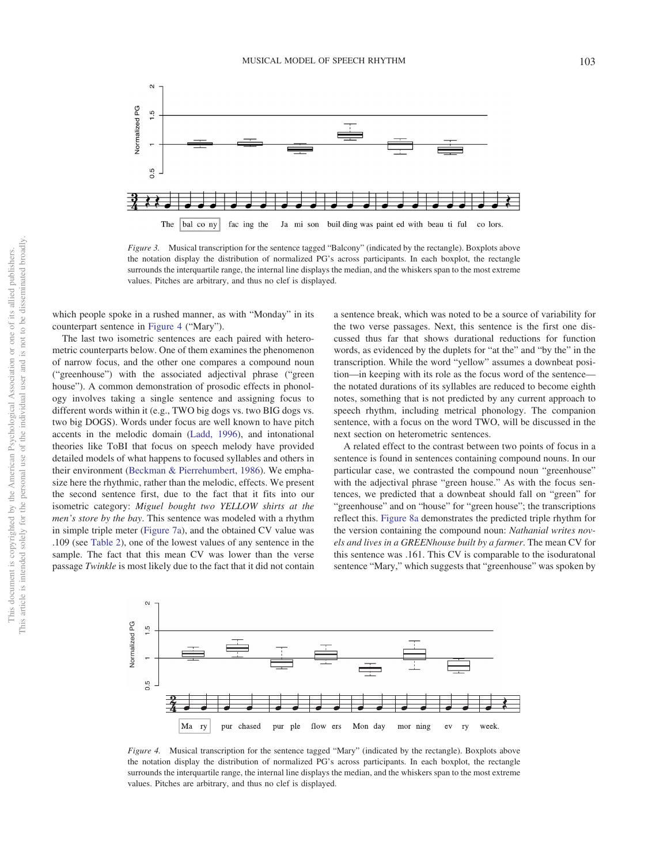

<span id="page-8-0"></span>*Figure 3.* Musical transcription for the sentence tagged "Balcony" (indicated by the rectangle). Boxplots above the notation display the distribution of normalized PG's across participants. In each boxplot, the rectangle surrounds the interquartile range, the internal line displays the median, and the whiskers span to the most extreme values. Pitches are arbitrary, and thus no clef is displayed.

which people spoke in a rushed manner, as with "Monday" in its counterpart sentence in [Figure 4](#page-8-1) ("Mary").

The last two isometric sentences are each paired with heterometric counterparts below. One of them examines the phenomenon of narrow focus, and the other one compares a compound noun ("greenhouse") with the associated adjectival phrase ("green house"). A common demonstration of prosodic effects in phonology involves taking a single sentence and assigning focus to different words within it (e.g., TWO big dogs vs. two BIG dogs vs. two big DOGS). Words under focus are well known to have pitch accents in the melodic domain [\(Ladd, 1996\)](#page-16-38), and intonational theories like ToBI that focus on speech melody have provided detailed models of what happens to focused syllables and others in their environment [\(Beckman & Pierrehumbert, 1986\)](#page-16-39). We emphasize here the rhythmic, rather than the melodic, effects. We present the second sentence first, due to the fact that it fits into our isometric category: *Miguel bought two YELLOW shirts at the men's store by the bay*. This sentence was modeled with a rhythm in simple triple meter [\(Figure 7a\)](#page-10-0), and the obtained CV value was .109 (see [Table 2\)](#page-6-0), one of the lowest values of any sentence in the sample. The fact that this mean CV was lower than the verse passage *Twinkle* is most likely due to the fact that it did not contain a sentence break, which was noted to be a source of variability for the two verse passages. Next, this sentence is the first one discussed thus far that shows durational reductions for function words, as evidenced by the duplets for "at the" and "by the" in the transcription. While the word "yellow" assumes a downbeat position—in keeping with its role as the focus word of the sentence the notated durations of its syllables are reduced to become eighth notes, something that is not predicted by any current approach to speech rhythm, including metrical phonology. The companion sentence, with a focus on the word TWO, will be discussed in the next section on heterometric sentences.

A related effect to the contrast between two points of focus in a sentence is found in sentences containing compound nouns. In our particular case, we contrasted the compound noun "greenhouse" with the adjectival phrase "green house." As with the focus sentences, we predicted that a downbeat should fall on "green" for "greenhouse" and on "house" for "green house"; the transcriptions reflect this. [Figure 8a](#page-11-0) demonstrates the predicted triple rhythm for the version containing the compound noun: *Nathanial writes novels and lives in a GREENhouse built by a farmer*. The mean CV for this sentence was .161. This CV is comparable to the isoduratonal sentence "Mary," which suggests that "greenhouse" was spoken by



<span id="page-8-1"></span>*Figure 4.* Musical transcription for the sentence tagged "Mary" (indicated by the rectangle). Boxplots above the notation display the distribution of normalized PG's across participants. In each boxplot, the rectangle surrounds the interquartile range, the internal line displays the median, and the whiskers span to the most extreme values. Pitches are arbitrary, and thus no clef is displayed.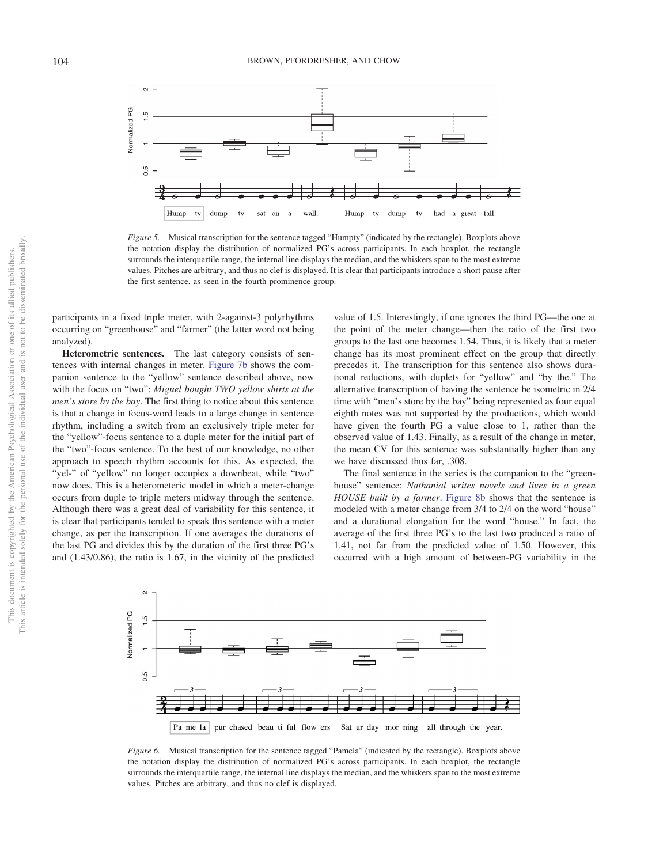

<span id="page-9-0"></span>*Figure 5.* Musical transcription for the sentence tagged "Humpty" (indicated by the rectangle). Boxplots above the notation display the distribution of normalized PG's across participants. In each boxplot, the rectangle surrounds the interquartile range, the internal line displays the median, and the whiskers span to the most extreme values. Pitches are arbitrary, and thus no clef is displayed. It is clear that participants introduce a short pause after the first sentence, as seen in the fourth prominence group.

participants in a fixed triple meter, with 2-against-3 polyrhythms occurring on "greenhouse" and "farmer" (the latter word not being analyzed).

**Heterometric sentences.** The last category consists of sentences with internal changes in meter. [Figure 7b](#page-10-0) shows the companion sentence to the "yellow" sentence described above, now with the focus on "two": *Miguel bought TWO yellow shirts at the men's store by the bay*. The first thing to notice about this sentence is that a change in focus-word leads to a large change in sentence rhythm, including a switch from an exclusively triple meter for the "yellow"-focus sentence to a duple meter for the initial part of the "two"-focus sentence. To the best of our knowledge, no other approach to speech rhythm accounts for this. As expected, the "yel-" of "yellow" no longer occupies a downbeat, while "two" now does. This is a heterometeric model in which a meter-change occurs from duple to triple meters midway through the sentence. Although there was a great deal of variability for this sentence, it is clear that participants tended to speak this sentence with a meter change, as per the transcription. If one averages the durations of the last PG and divides this by the duration of the first three PG's and (1.43/0.86), the ratio is 1.67, in the vicinity of the predicted

value of 1.5. Interestingly, if one ignores the third PG—the one at the point of the meter change—then the ratio of the first two groups to the last one becomes 1.54. Thus, it is likely that a meter change has its most prominent effect on the group that directly precedes it. The transcription for this sentence also shows durational reductions, with duplets for "yellow" and "by the." The alternative transcription of having the sentence be isometric in 2/4 time with "men's store by the bay" being represented as four equal eighth notes was not supported by the productions, which would have given the fourth PG a value close to 1, rather than the observed value of 1.43. Finally, as a result of the change in meter, the mean CV for this sentence was substantially higher than any we have discussed thus far, .308.

The final sentence in the series is the companion to the "greenhouse" sentence: *Nathanial writes novels and lives in a green HOUSE built by a farmer*. [Figure 8b](#page-11-0) shows that the sentence is modeled with a meter change from 3/4 to 2/4 on the word "house" and a durational elongation for the word "house." In fact, the average of the first three PG's to the last two produced a ratio of 1.41, not far from the predicted value of 1.50. However, this occurred with a high amount of between-PG variability in the



<span id="page-9-1"></span>*Figure 6.* Musical transcription for the sentence tagged "Pamela" (indicated by the rectangle). Boxplots above the notation display the distribution of normalized PG's across participants. In each boxplot, the rectangle surrounds the interquartile range, the internal line displays the median, and the whiskers span to the most extreme values. Pitches are arbitrary, and thus no clef is displayed.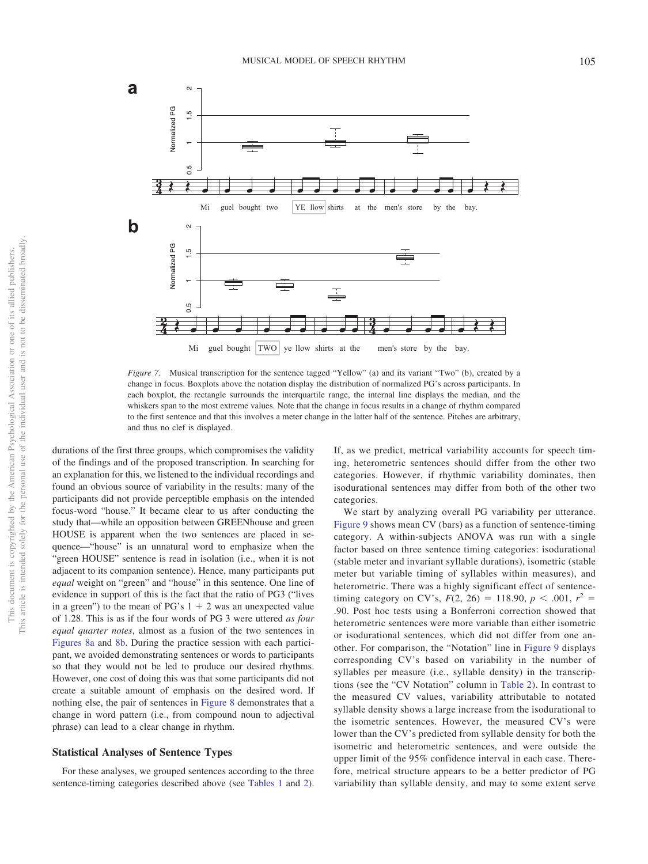

<span id="page-10-0"></span>*Figure 7.* Musical transcription for the sentence tagged "Yellow" (a) and its variant "Two" (b), created by a change in focus. Boxplots above the notation display the distribution of normalized PG's across participants. In each boxplot, the rectangle surrounds the interquartile range, the internal line displays the median, and the whiskers span to the most extreme values. Note that the change in focus results in a change of rhythm compared to the first sentence and that this involves a meter change in the latter half of the sentence. Pitches are arbitrary, and thus no clef is displayed.

durations of the first three groups, which compromises the validity of the findings and of the proposed transcription. In searching for an explanation for this, we listened to the individual recordings and found an obvious source of variability in the results: many of the participants did not provide perceptible emphasis on the intended focus-word "house." It became clear to us after conducting the study that—while an opposition between GREENhouse and green HOUSE is apparent when the two sentences are placed in sequence—"house" is an unnatural word to emphasize when the "green HOUSE" sentence is read in isolation (i.e., when it is not adjacent to its companion sentence). Hence, many participants put *equal* weight on "green" and "house" in this sentence. One line of evidence in support of this is the fact that the ratio of PG3 ("lives in a green") to the mean of PG's  $1 + 2$  was an unexpected value of 1.28. This is as if the four words of PG 3 were uttered *as four equal quarter notes*, almost as a fusion of the two sentences in [Figures 8a](#page-11-0) and [8b.](#page-11-0) During the practice session with each participant, we avoided demonstrating sentences or words to participants so that they would not be led to produce our desired rhythms. However, one cost of doing this was that some participants did not create a suitable amount of emphasis on the desired word. If nothing else, the pair of sentences in [Figure 8](#page-11-0) demonstrates that a change in word pattern (i.e., from compound noun to adjectival phrase) can lead to a clear change in rhythm.

### **Statistical Analyses of Sentence Types**

For these analyses, we grouped sentences according to the three sentence-timing categories described above (see [Tables 1](#page-4-0) and [2\)](#page-6-0). If, as we predict, metrical variability accounts for speech timing, heterometric sentences should differ from the other two categories. However, if rhythmic variability dominates, then isodurational sentences may differ from both of the other two categories.

We start by analyzing overall PG variability per utterance. [Figure 9](#page-12-0) shows mean CV (bars) as a function of sentence-timing category. A within-subjects ANOVA was run with a single factor based on three sentence timing categories: isodurational (stable meter and invariant syllable durations), isometric (stable meter but variable timing of syllables within measures), and heterometric. There was a highly significant effect of sentencetiming category on CV's,  $F(2, 26) = 118.90, p < .001, r^2 =$ .90. Post hoc tests using a Bonferroni correction showed that heterometric sentences were more variable than either isometric or isodurational sentences, which did not differ from one another. For comparison, the "Notation" line in [Figure 9](#page-12-0) displays corresponding CV's based on variability in the number of syllables per measure (i.e., syllable density) in the transcriptions (see the "CV Notation" column in [Table 2\)](#page-6-0). In contrast to the measured CV values, variability attributable to notated syllable density shows a large increase from the isodurational to the isometric sentences. However, the measured CV's were lower than the CV's predicted from syllable density for both the isometric and heterometric sentences, and were outside the upper limit of the 95% confidence interval in each case. Therefore, metrical structure appears to be a better predictor of PG variability than syllable density, and may to some extent serve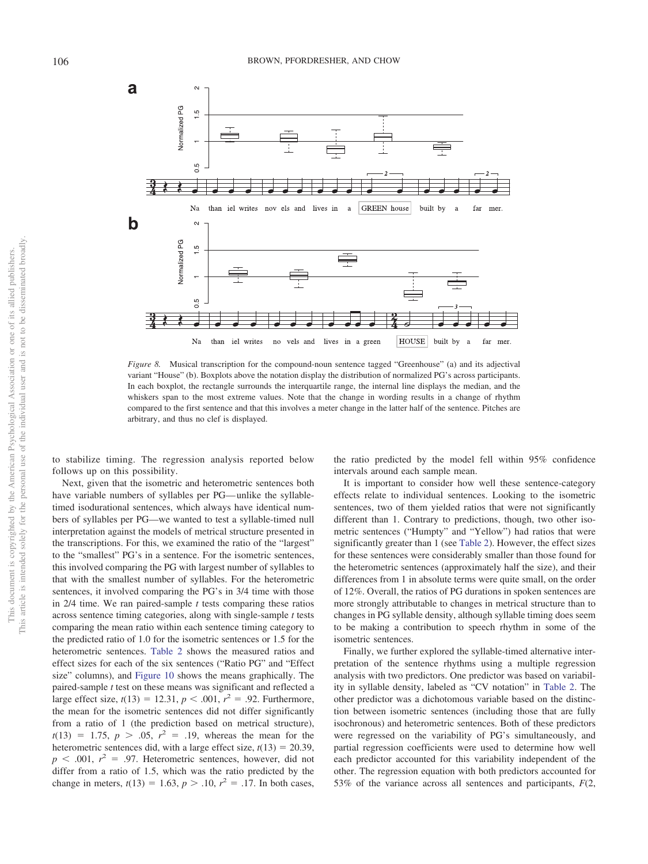

<span id="page-11-0"></span>*Figure 8.* Musical transcription for the compound-noun sentence tagged "Greenhouse" (a) and its adjectival variant "House" (b). Boxplots above the notation display the distribution of normalized PG's across participants. In each boxplot, the rectangle surrounds the interquartile range, the internal line displays the median, and the whiskers span to the most extreme values. Note that the change in wording results in a change of rhythm compared to the first sentence and that this involves a meter change in the latter half of the sentence. Pitches are arbitrary, and thus no clef is displayed.

to stabilize timing. The regression analysis reported below follows up on this possibility.

Next, given that the isometric and heterometric sentences both have variable numbers of syllables per PG— unlike the syllabletimed isodurational sentences, which always have identical numbers of syllables per PG—we wanted to test a syllable-timed null interpretation against the models of metrical structure presented in the transcriptions. For this, we examined the ratio of the "largest" to the "smallest" PG's in a sentence. For the isometric sentences, this involved comparing the PG with largest number of syllables to that with the smallest number of syllables. For the heterometric sentences, it involved comparing the PG's in 3/4 time with those in 2/4 time. We ran paired-sample *t* tests comparing these ratios across sentence timing categories, along with single-sample *t* tests comparing the mean ratio within each sentence timing category to the predicted ratio of 1.0 for the isometric sentences or 1.5 for the heterometric sentences. [Table 2](#page-6-0) shows the measured ratios and effect sizes for each of the six sentences ("Ratio PG" and "Effect size" columns), and [Figure 10](#page-12-1) shows the means graphically. The paired-sample *t* test on these means was significant and reflected a large effect size,  $t(13) = 12.31$ ,  $p < .001$ ,  $r^2 = .92$ . Furthermore, the mean for the isometric sentences did not differ significantly from a ratio of 1 (the prediction based on metrical structure),  $t(13) = 1.75, p > .05, r<sup>2</sup> = .19$ , whereas the mean for the heterometric sentences did, with a large effect size,  $t(13) = 20.39$ ,  $p \leq 0.001$ ,  $r^2 = 0.97$ . Heterometric sentences, however, did not differ from a ratio of 1.5, which was the ratio predicted by the change in meters,  $t(13) = 1.63$ ,  $p > .10$ ,  $r^2 = .17$ . In both cases,

the ratio predicted by the model fell within 95% confidence intervals around each sample mean.

It is important to consider how well these sentence-category effects relate to individual sentences. Looking to the isometric sentences, two of them yielded ratios that were not significantly different than 1. Contrary to predictions, though, two other isometric sentences ("Humpty" and "Yellow") had ratios that were significantly greater than 1 (see [Table 2\)](#page-6-0). However, the effect sizes for these sentences were considerably smaller than those found for the heterometric sentences (approximately half the size), and their differences from 1 in absolute terms were quite small, on the order of 12%. Overall, the ratios of PG durations in spoken sentences are more strongly attributable to changes in metrical structure than to changes in PG syllable density, although syllable timing does seem to be making a contribution to speech rhythm in some of the isometric sentences.

Finally, we further explored the syllable-timed alternative interpretation of the sentence rhythms using a multiple regression analysis with two predictors. One predictor was based on variability in syllable density, labeled as "CV notation" in [Table 2.](#page-6-0) The other predictor was a dichotomous variable based on the distinction between isometric sentences (including those that are fully isochronous) and heterometric sentences. Both of these predictors were regressed on the variability of PG's simultaneously, and partial regression coefficients were used to determine how well each predictor accounted for this variability independent of the other. The regression equation with both predictors accounted for 53% of the variance across all sentences and participants, *F*(2,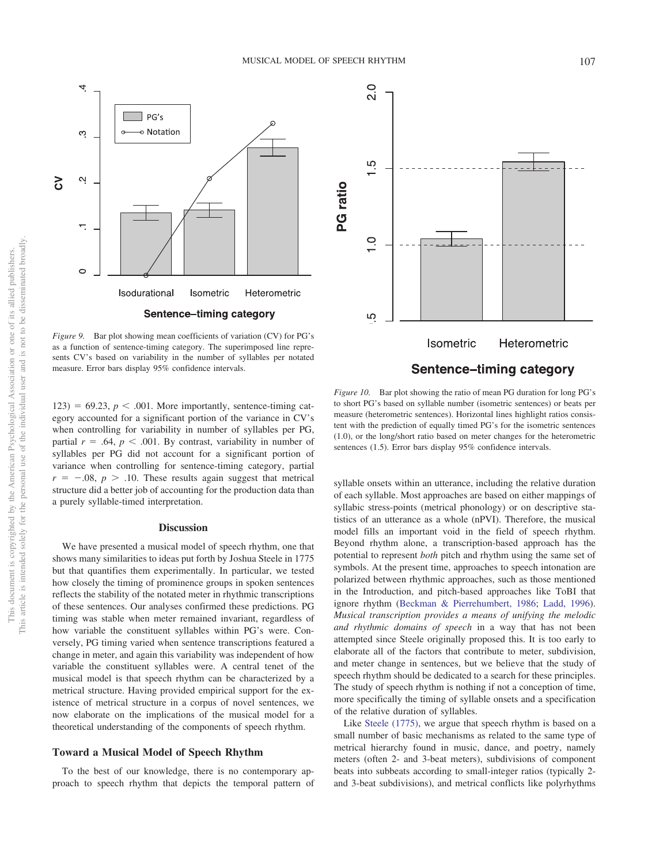

<span id="page-12-0"></span>*Figure 9.* Bar plot showing mean coefficients of variation (CV) for PG's as a function of sentence-timing category. The superimposed line represents CV's based on variability in the number of syllables per notated measure. Error bars display 95% confidence intervals.

 $123$ ) = 69.23,  $p < .001$ . More importantly, sentence-timing category accounted for a significant portion of the variance in CV's when controlling for variability in number of syllables per PG, partial  $r = .64$ ,  $p < .001$ . By contrast, variability in number of syllables per PG did not account for a significant portion of variance when controlling for sentence-timing category, partial  $r = -.08, p > .10$ . These results again suggest that metrical structure did a better job of accounting for the production data than a purely syllable-timed interpretation.

#### **Discussion**

We have presented a musical model of speech rhythm, one that shows many similarities to ideas put forth by Joshua Steele in 1775 but that quantifies them experimentally. In particular, we tested how closely the timing of prominence groups in spoken sentences reflects the stability of the notated meter in rhythmic transcriptions of these sentences. Our analyses confirmed these predictions. PG timing was stable when meter remained invariant, regardless of how variable the constituent syllables within PG's were. Conversely, PG timing varied when sentence transcriptions featured a change in meter, and again this variability was independent of how variable the constituent syllables were. A central tenet of the musical model is that speech rhythm can be characterized by a metrical structure. Having provided empirical support for the existence of metrical structure in a corpus of novel sentences, we now elaborate on the implications of the musical model for a theoretical understanding of the components of speech rhythm.

### **Toward a Musical Model of Speech Rhythm**

To the best of our knowledge, there is no contemporary approach to speech rhythm that depicts the temporal pattern of



<span id="page-12-1"></span>*Figure 10.* Bar plot showing the ratio of mean PG duration for long PG's to short PG's based on syllable number (isometric sentences) or beats per measure (heterometric sentences). Horizontal lines highlight ratios consistent with the prediction of equally timed PG's for the isometric sentences (1.0), or the long/short ratio based on meter changes for the heterometric sentences (1.5). Error bars display 95% confidence intervals.

syllable onsets within an utterance, including the relative duration of each syllable. Most approaches are based on either mappings of syllabic stress-points (metrical phonology) or on descriptive statistics of an utterance as a whole (nPVI). Therefore, the musical model fills an important void in the field of speech rhythm. Beyond rhythm alone, a transcription-based approach has the potential to represent *both* pitch and rhythm using the same set of symbols. At the present time, approaches to speech intonation are polarized between rhythmic approaches, such as those mentioned in the Introduction, and pitch-based approaches like ToBI that ignore rhythm [\(Beckman & Pierrehumbert, 1986;](#page-16-39) [Ladd, 1996\)](#page-16-38). *Musical transcription provides a means of unifying the melodic and rhythmic domains of speech* in a way that has not been attempted since Steele originally proposed this. It is too early to elaborate all of the factors that contribute to meter, subdivision, and meter change in sentences, but we believe that the study of speech rhythm should be dedicated to a search for these principles. The study of speech rhythm is nothing if not a conception of time, more specifically the timing of syllable onsets and a specification of the relative duration of syllables.

Like [Steele \(1775\),](#page-16-2) we argue that speech rhythm is based on a small number of basic mechanisms as related to the same type of metrical hierarchy found in music, dance, and poetry, namely meters (often 2- and 3-beat meters), subdivisions of component beats into subbeats according to small-integer ratios (typically 2 and 3-beat subdivisions), and metrical conflicts like polyrhythms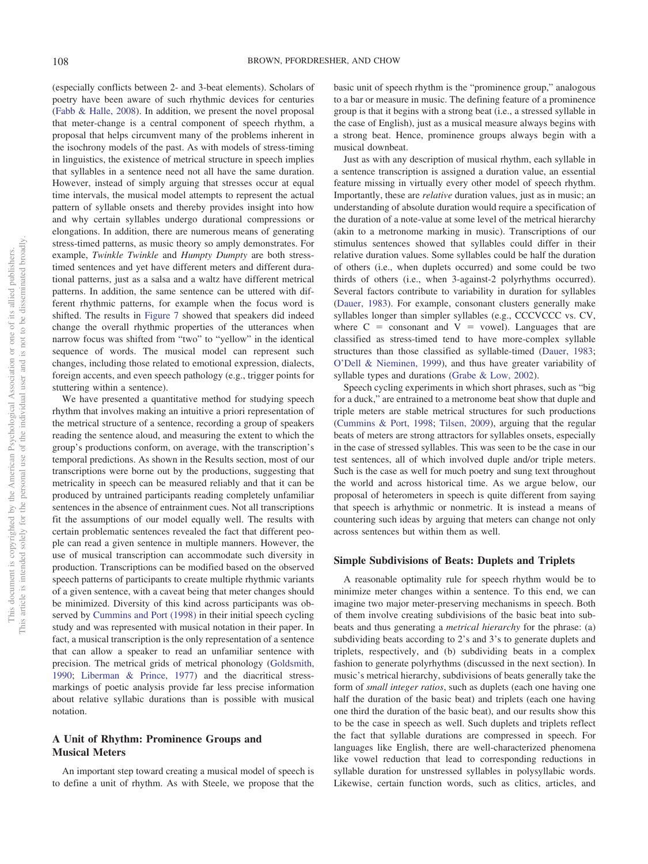(especially conflicts between 2- and 3-beat elements). Scholars of poetry have been aware of such rhythmic devices for centuries [\(Fabb & Halle, 2008\)](#page-16-24). In addition, we present the novel proposal that meter-change is a central component of speech rhythm, a proposal that helps circumvent many of the problems inherent in the isochrony models of the past. As with models of stress-timing in linguistics, the existence of metrical structure in speech implies that syllables in a sentence need not all have the same duration. However, instead of simply arguing that stresses occur at equal time intervals, the musical model attempts to represent the actual pattern of syllable onsets and thereby provides insight into how and why certain syllables undergo durational compressions or elongations. In addition, there are numerous means of generating stress-timed patterns, as music theory so amply demonstrates. For example, *Twinkle Twinkle* and *Humpty Dumpty* are both stresstimed sentences and yet have different meters and different durational patterns, just as a salsa and a waltz have different metrical patterns. In addition, the same sentence can be uttered with different rhythmic patterns, for example when the focus word is shifted. The results in [Figure 7](#page-10-0) showed that speakers did indeed change the overall rhythmic properties of the utterances when narrow focus was shifted from "two" to "yellow" in the identical sequence of words. The musical model can represent such changes, including those related to emotional expression, dialects, foreign accents, and even speech pathology (e.g., trigger points for stuttering within a sentence).

We have presented a quantitative method for studying speech rhythm that involves making an intuitive a priori representation of the metrical structure of a sentence, recording a group of speakers reading the sentence aloud, and measuring the extent to which the group's productions conform, on average, with the transcription's temporal predictions. As shown in the Results section, most of our transcriptions were borne out by the productions, suggesting that metricality in speech can be measured reliably and that it can be produced by untrained participants reading completely unfamiliar sentences in the absence of entrainment cues. Not all transcriptions fit the assumptions of our model equally well. The results with certain problematic sentences revealed the fact that different people can read a given sentence in multiple manners. However, the use of musical transcription can accommodate such diversity in production. Transcriptions can be modified based on the observed speech patterns of participants to create multiple rhythmic variants of a given sentence, with a caveat being that meter changes should be minimized. Diversity of this kind across participants was observed by [Cummins and Port \(1998\)](#page-16-11) in their initial speech cycling study and was represented with musical notation in their paper. In fact, a musical transcription is the only representation of a sentence that can allow a speaker to read an unfamiliar sentence with precision. The metrical grids of metrical phonology [\(Goldsmith,](#page-16-22) [1990;](#page-16-22) [Liberman & Prince, 1977\)](#page-16-21) and the diacritical stressmarkings of poetic analysis provide far less precise information about relative syllabic durations than is possible with musical notation.

# **A Unit of Rhythm: Prominence Groups and Musical Meters**

An important step toward creating a musical model of speech is to define a unit of rhythm. As with Steele, we propose that the basic unit of speech rhythm is the "prominence group," analogous to a bar or measure in music. The defining feature of a prominence group is that it begins with a strong beat (i.e., a stressed syllable in the case of English), just as a musical measure always begins with a strong beat. Hence, prominence groups always begin with a musical downbeat.

Just as with any description of musical rhythm, each syllable in a sentence transcription is assigned a duration value, an essential feature missing in virtually every other model of speech rhythm. Importantly, these are *relative* duration values, just as in music; an understanding of absolute duration would require a specification of the duration of a note-value at some level of the metrical hierarchy (akin to a metronome marking in music). Transcriptions of our stimulus sentences showed that syllables could differ in their relative duration values. Some syllables could be half the duration of others (i.e., when duplets occurred) and some could be two thirds of others (i.e., when 3-against-2 polyrhythms occurred). Several factors contribute to variability in duration for syllables [\(Dauer, 1983\)](#page-16-7). For example, consonant clusters generally make syllables longer than simpler syllables (e.g., CCCVCCC vs. CV, where  $C =$  consonant and  $V =$  vowel). Languages that are classified as stress-timed tend to have more-complex syllable structures than those classified as syllable-timed [\(Dauer, 1983;](#page-16-7) [O'Dell & Nieminen, 1999\)](#page-16-13), and thus have greater variability of syllable types and durations [\(Grabe & Low, 2002\)](#page-16-0).

Speech cycling experiments in which short phrases, such as "big for a duck," are entrained to a metronome beat show that duple and triple meters are stable metrical structures for such productions [\(Cummins & Port, 1998;](#page-16-11) [Tilsen, 2009\)](#page-17-0), arguing that the regular beats of meters are strong attractors for syllables onsets, especially in the case of stressed syllables. This was seen to be the case in our test sentences, all of which involved duple and/or triple meters. Such is the case as well for much poetry and sung text throughout the world and across historical time. As we argue below, our proposal of heterometers in speech is quite different from saying that speech is arhythmic or nonmetric. It is instead a means of countering such ideas by arguing that meters can change not only across sentences but within them as well.

## **Simple Subdivisions of Beats: Duplets and Triplets**

A reasonable optimality rule for speech rhythm would be to minimize meter changes within a sentence. To this end, we can imagine two major meter-preserving mechanisms in speech. Both of them involve creating subdivisions of the basic beat into subbeats and thus generating a *metrical hierarchy* for the phrase: (a) subdividing beats according to 2's and 3's to generate duplets and triplets, respectively, and (b) subdividing beats in a complex fashion to generate polyrhythms (discussed in the next section). In music's metrical hierarchy, subdivisions of beats generally take the form of *small integer ratios*, such as duplets (each one having one half the duration of the basic beat) and triplets (each one having one third the duration of the basic beat), and our results show this to be the case in speech as well. Such duplets and triplets reflect the fact that syllable durations are compressed in speech. For languages like English, there are well-characterized phenomena like vowel reduction that lead to corresponding reductions in syllable duration for unstressed syllables in polysyllabic words. Likewise, certain function words, such as clitics, articles, and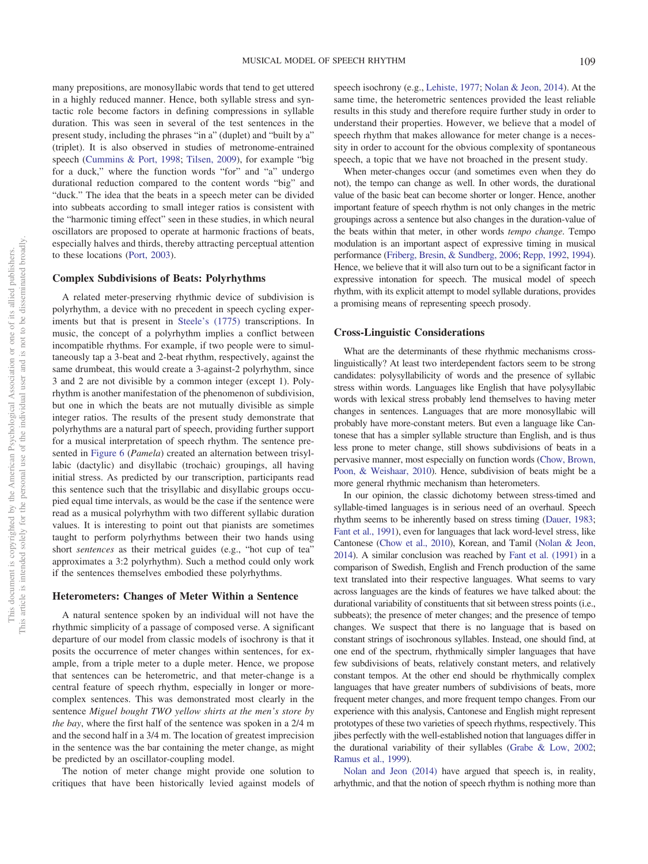many prepositions, are monosyllabic words that tend to get uttered in a highly reduced manner. Hence, both syllable stress and syntactic role become factors in defining compressions in syllable duration. This was seen in several of the test sentences in the present study, including the phrases "in a" (duplet) and "built by a" (triplet). It is also observed in studies of metronome-entrained speech [\(Cummins & Port, 1998;](#page-16-11) [Tilsen, 2009\)](#page-17-0), for example "big for a duck," where the function words "for" and "a" undergo durational reduction compared to the content words "big" and "duck." The idea that the beats in a speech meter can be divided into subbeats according to small integer ratios is consistent with the "harmonic timing effect" seen in these studies, in which neural oscillators are proposed to operate at harmonic fractions of beats, especially halves and thirds, thereby attracting perceptual attention to these locations [\(Port, 2003\)](#page-16-14).

#### **Complex Subdivisions of Beats: Polyrhythms**

A related meter-preserving rhythmic device of subdivision is polyrhythm, a device with no precedent in speech cycling experiments but that is present in [Steele's \(1775\)](#page-16-2) transcriptions. In music, the concept of a polyrhythm implies a conflict between incompatible rhythms. For example, if two people were to simultaneously tap a 3-beat and 2-beat rhythm, respectively, against the same drumbeat, this would create a 3-against-2 polyrhythm, since 3 and 2 are not divisible by a common integer (except 1). Polyrhythm is another manifestation of the phenomenon of subdivision, but one in which the beats are not mutually divisible as simple integer ratios. The results of the present study demonstrate that polyrhythms are a natural part of speech, providing further support for a musical interpretation of speech rhythm. The sentence presented in [Figure 6](#page-9-1) (*Pamela*) created an alternation between trisyllabic (dactylic) and disyllabic (trochaic) groupings, all having initial stress. As predicted by our transcription, participants read this sentence such that the trisyllabic and disyllabic groups occupied equal time intervals, as would be the case if the sentence were read as a musical polyrhythm with two different syllabic duration values. It is interesting to point out that pianists are sometimes taught to perform polyrhythms between their two hands using short *sentences* as their metrical guides (e.g., "hot cup of tea" approximates a 3:2 polyrhythm). Such a method could only work if the sentences themselves embodied these polyrhythms.

## **Heterometers: Changes of Meter Within a Sentence**

A natural sentence spoken by an individual will not have the rhythmic simplicity of a passage of composed verse. A significant departure of our model from classic models of isochrony is that it posits the occurrence of meter changes within sentences, for example, from a triple meter to a duple meter. Hence, we propose that sentences can be heterometric, and that meter-change is a central feature of speech rhythm, especially in longer or morecomplex sentences. This was demonstrated most clearly in the sentence *Miguel bought TWO yellow shirts at the men's store by the bay*, where the first half of the sentence was spoken in a 2/4 m and the second half in a 3/4 m. The location of greatest imprecision in the sentence was the bar containing the meter change, as might be predicted by an oscillator-coupling model.

The notion of meter change might provide one solution to critiques that have been historically levied against models of speech isochrony (e.g., [Lehiste, 1977;](#page-16-8) [Nolan & Jeon, 2014\)](#page-16-9). At the same time, the heterometric sentences provided the least reliable results in this study and therefore require further study in order to understand their properties. However, we believe that a model of speech rhythm that makes allowance for meter change is a necessity in order to account for the obvious complexity of spontaneous speech, a topic that we have not broached in the present study.

When meter-changes occur (and sometimes even when they do not), the tempo can change as well. In other words, the durational value of the basic beat can become shorter or longer. Hence, another important feature of speech rhythm is not only changes in the metric groupings across a sentence but also changes in the duration-value of the beats within that meter, in other words *tempo change*. Tempo modulation is an important aspect of expressive timing in musical performance [\(Friberg, Bresin, & Sundberg, 2006;](#page-16-40) [Repp, 1992,](#page-16-41) [1994\)](#page-16-42). Hence, we believe that it will also turn out to be a significant factor in expressive intonation for speech. The musical model of speech rhythm, with its explicit attempt to model syllable durations, provides a promising means of representing speech prosody.

#### **Cross-Linguistic Considerations**

What are the determinants of these rhythmic mechanisms crosslinguistically? At least two interdependent factors seem to be strong candidates: polysyllabilicity of words and the presence of syllabic stress within words. Languages like English that have polysyllabic words with lexical stress probably lend themselves to having meter changes in sentences. Languages that are more monosyllabic will probably have more-constant meters. But even a language like Cantonese that has a simpler syllable structure than English, and is thus less prone to meter change, still shows subdivisions of beats in a pervasive manner, most especially on function words [\(Chow, Brown,](#page-16-43) [Poon, & Weishaar, 2010\)](#page-16-43). Hence, subdivision of beats might be a more general rhythmic mechanism than heterometers.

In our opinion, the classic dichotomy between stress-timed and syllable-timed languages is in serious need of an overhaul. Speech rhythm seems to be inherently based on stress timing [\(Dauer, 1983;](#page-16-7) [Fant et al., 1991\)](#page-16-30), even for languages that lack word-level stress, like Cantonese [\(Chow et al., 2010\)](#page-16-43), Korean, and Tamil [\(Nolan & Jeon,](#page-16-9) [2014\)](#page-16-9). A similar conclusion was reached by [Fant et al. \(1991\)](#page-16-30) in a comparison of Swedish, English and French production of the same text translated into their respective languages. What seems to vary across languages are the kinds of features we have talked about: the durational variability of constituents that sit between stress points (i.e., subbeats); the presence of meter changes; and the presence of tempo changes. We suspect that there is no language that is based on constant strings of isochronous syllables. Instead, one should find, at one end of the spectrum, rhythmically simpler languages that have few subdivisions of beats, relatively constant meters, and relatively constant tempos. At the other end should be rhythmically complex languages that have greater numbers of subdivisions of beats, more frequent meter changes, and more frequent tempo changes. From our experience with this analysis, Cantonese and English might represent prototypes of these two varieties of speech rhythms, respectively. This jibes perfectly with the well-established notion that languages differ in the durational variability of their syllables [\(Grabe & Low, 2002;](#page-16-0) [Ramus et al., 1999\)](#page-16-1).

[Nolan and Jeon \(2014\)](#page-16-9) have argued that speech is, in reality, arhythmic, and that the notion of speech rhythm is nothing more than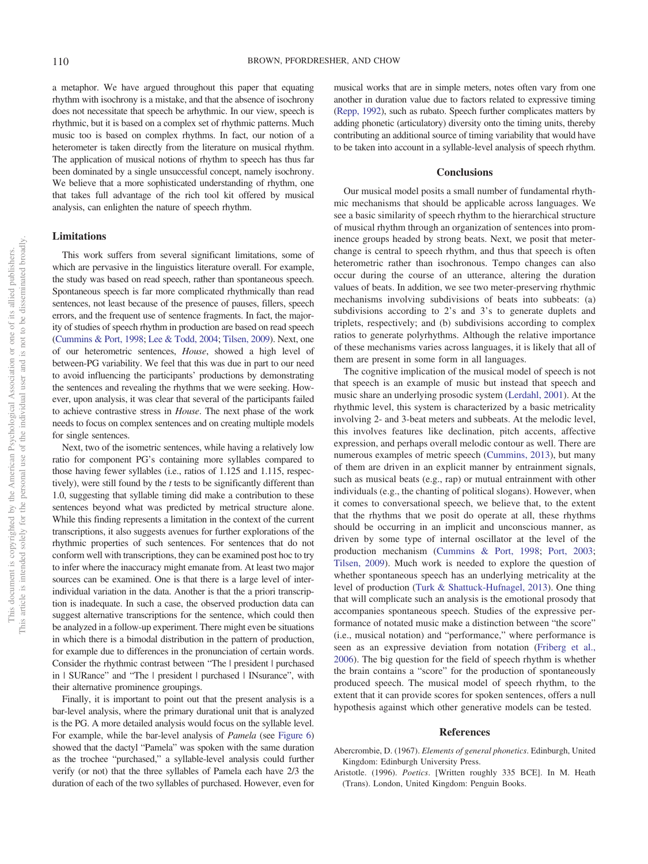a metaphor. We have argued throughout this paper that equating rhythm with isochrony is a mistake, and that the absence of isochrony does not necessitate that speech be arhythmic. In our view, speech is rhythmic, but it is based on a complex set of rhythmic patterns. Much music too is based on complex rhythms. In fact, our notion of a heterometer is taken directly from the literature on musical rhythm. The application of musical notions of rhythm to speech has thus far been dominated by a single unsuccessful concept, namely isochrony. We believe that a more sophisticated understanding of rhythm, one that takes full advantage of the rich tool kit offered by musical analysis, can enlighten the nature of speech rhythm.

## **Limitations**

This work suffers from several significant limitations, some of which are pervasive in the linguistics literature overall. For example, the study was based on read speech, rather than spontaneous speech. Spontaneous speech is far more complicated rhythmically than read sentences, not least because of the presence of pauses, fillers, speech errors, and the frequent use of sentence fragments. In fact, the majority of studies of speech rhythm in production are based on read speech [\(Cummins & Port, 1998;](#page-16-11) [Lee & Todd, 2004;](#page-16-44) [Tilsen, 2009\)](#page-17-0). Next, one of our heterometric sentences, *House*, showed a high level of between-PG variability. We feel that this was due in part to our need to avoid influencing the participants' productions by demonstrating the sentences and revealing the rhythms that we were seeking. However, upon analysis, it was clear that several of the participants failed to achieve contrastive stress in *House*. The next phase of the work needs to focus on complex sentences and on creating multiple models for single sentences.

Next, two of the isometric sentences, while having a relatively low ratio for component PG's containing more syllables compared to those having fewer syllables (i.e., ratios of 1.125 and 1.115, respectively), were still found by the *t* tests to be significantly different than 1.0, suggesting that syllable timing did make a contribution to these sentences beyond what was predicted by metrical structure alone. While this finding represents a limitation in the context of the current transcriptions, it also suggests avenues for further explorations of the rhythmic properties of such sentences. For sentences that do not conform well with transcriptions, they can be examined post hoc to try to infer where the inaccuracy might emanate from. At least two major sources can be examined. One is that there is a large level of interindividual variation in the data. Another is that the a priori transcription is inadequate. In such a case, the observed production data can suggest alternative transcriptions for the sentence, which could then be analyzed in a follow-up experiment. There might even be situations in which there is a bimodal distribution in the pattern of production, for example due to differences in the pronunciation of certain words. Consider the rhythmic contrast between "The | president | purchased in | SURance" and "The | president | purchased | INsurance", with their alternative prominence groupings.

Finally, it is important to point out that the present analysis is a bar-level analysis, where the primary durational unit that is analyzed is the PG. A more detailed analysis would focus on the syllable level. For example, while the bar-level analysis of *Pamela* (see [Figure 6\)](#page-9-1) showed that the dactyl "Pamela" was spoken with the same duration as the trochee "purchased," a syllable-level analysis could further verify (or not) that the three syllables of Pamela each have 2/3 the duration of each of the two syllables of purchased. However, even for musical works that are in simple meters, notes often vary from one another in duration value due to factors related to expressive timing [\(Repp, 1992\)](#page-16-41), such as rubato. Speech further complicates matters by adding phonetic (articulatory) diversity onto the timing units, thereby contributing an additional source of timing variability that would have to be taken into account in a syllable-level analysis of speech rhythm.

#### **Conclusions**

Our musical model posits a small number of fundamental rhythmic mechanisms that should be applicable across languages. We see a basic similarity of speech rhythm to the hierarchical structure of musical rhythm through an organization of sentences into prominence groups headed by strong beats. Next, we posit that meterchange is central to speech rhythm, and thus that speech is often heterometric rather than isochronous. Tempo changes can also occur during the course of an utterance, altering the duration values of beats. In addition, we see two meter-preserving rhythmic mechanisms involving subdivisions of beats into subbeats: (a) subdivisions according to 2's and 3's to generate duplets and triplets, respectively; and (b) subdivisions according to complex ratios to generate polyrhythms. Although the relative importance of these mechanisms varies across languages, it is likely that all of them are present in some form in all languages.

The cognitive implication of the musical model of speech is not that speech is an example of music but instead that speech and music share an underlying prosodic system [\(Lerdahl, 2001\)](#page-16-45). At the rhythmic level, this system is characterized by a basic metricality involving 2- and 3-beat meters and subbeats. At the melodic level, this involves features like declination, pitch accents, affective expression, and perhaps overall melodic contour as well. There are numerous examples of metric speech [\(Cummins, 2013\)](#page-16-46), but many of them are driven in an explicit manner by entrainment signals, such as musical beats (e.g., rap) or mutual entrainment with other individuals (e.g., the chanting of political slogans). However, when it comes to conversational speech, we believe that, to the extent that the rhythms that we posit do operate at all, these rhythms should be occurring in an implicit and unconscious manner, as driven by some type of internal oscillator at the level of the production mechanism [\(Cummins & Port, 1998;](#page-16-11) [Port, 2003;](#page-16-14) [Tilsen, 2009\)](#page-17-0). Much work is needed to explore the question of whether spontaneous speech has an underlying metricality at the level of production [\(Turk & Shattuck-Hufnagel, 2013\)](#page-17-4). One thing that will complicate such an analysis is the emotional prosody that accompanies spontaneous speech. Studies of the expressive performance of notated music make a distinction between "the score" (i.e., musical notation) and "performance," where performance is seen as an expressive deviation from notation [\(Friberg et al.,](#page-16-40) [2006\)](#page-16-40). The big question for the field of speech rhythm is whether the brain contains a "score" for the production of spontaneously produced speech. The musical model of speech rhythm, to the extent that it can provide scores for spoken sentences, offers a null hypothesis against which other generative models can be tested.

#### **References**

- <span id="page-15-0"></span>Abercrombie, D. (1967). *Elements of general phonetics*. Edinburgh, United Kingdom: Edinburgh University Press.
- Aristotle. (1996). *Poetics*. [Written roughly 335 BCE]. In M. Heath (Trans). London, United Kingdom: Penguin Books.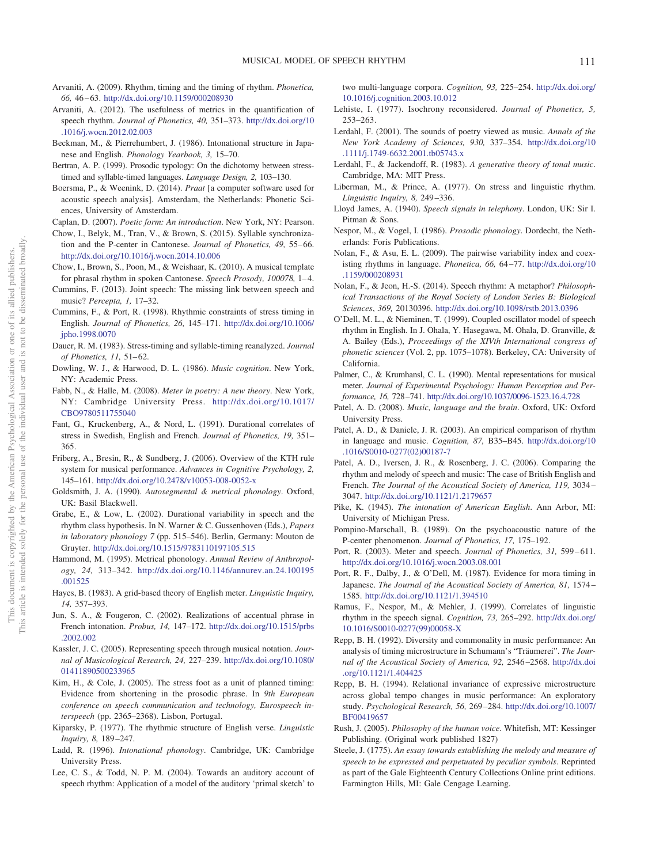- <span id="page-16-15"></span>Arvaniti, A. (2009). Rhythm, timing and the timing of rhythm. *Phonetica, 66,* 46 – 63. <http://dx.doi.org/10.1159/000208930>
- <span id="page-16-16"></span>Arvaniti, A. (2012). The usefulness of metrics in the quantification of speech rhythm. *Journal of Phonetics, 40,* 351–373. [http://dx.doi.org/10](http://dx.doi.org/10.1016/j.wocn.2012.02.003) [.1016/j.wocn.2012.02.003](http://dx.doi.org/10.1016/j.wocn.2012.02.003)
- <span id="page-16-39"></span>Beckman, M., & Pierrehumbert, J. (1986). Intonational structure in Japanese and English. *Phonology Yearbook, 3,* 15–70.
- <span id="page-16-6"></span>Bertran, A. P. (1999). Prosodic typology: On the dichotomy between stresstimed and syllable-timed languages. *Language Design, 2,* 103–130.
- <span id="page-16-36"></span>Boersma, P., & Weenink, D. (2014). *Praat* [a computer software used for acoustic speech analysis]. Amsterdam, the Netherlands: Phonetic Sciences, University of Amsterdam.
- <span id="page-16-23"></span>Caplan, D. (2007). *Poetic form: An introduction*. New York, NY: Pearson.
- <span id="page-16-33"></span>Chow, I., Belyk, M., Tran, V., & Brown, S. (2015). Syllable synchronization and the P-center in Cantonese. *Journal of Phonetics*, 49, 55-66. <http://dx.doi.org/10.1016/j.wocn.2014.10.006>
- <span id="page-16-43"></span>Chow, I., Brown, S., Poon, M., & Weishaar, K. (2010). A musical template for phrasal rhythm in spoken Cantonese. *Speech Prosody, 100078,* 1– 4.
- <span id="page-16-46"></span>Cummins, F. (2013). Joint speech: The missing link between speech and music? *Percepta, 1,* 17–32.
- <span id="page-16-11"></span>Cummins, F., & Port, R. (1998). Rhythmic constraints of stress timing in English. *Journal of Phonetics, 26,* 145–171. [http://dx.doi.org/10.1006/](http://dx.doi.org/10.1006/jpho.1998.0070) [jpho.1998.0070](http://dx.doi.org/10.1006/jpho.1998.0070)
- <span id="page-16-7"></span>Dauer, R. M. (1983). Stress-timing and syllable-timing reanalyzed. *Journal of Phonetics, 11, 51-62.*
- <span id="page-16-29"></span>Dowling, W. J., & Harwood, D. L. (1986). *Music cognition*. New York, NY: Academic Press.
- <span id="page-16-24"></span>Fabb, N., & Halle, M. (2008). *Meter in poetry: A new theory*. New York, NY: Cambridge University Press. [http://dx.doi.org/10.1017/](http://dx.doi.org/10.1017/CBO9780511755040) [CBO9780511755040](http://dx.doi.org/10.1017/CBO9780511755040)
- <span id="page-16-30"></span>Fant, G., Kruckenberg, A., & Nord, L. (1991). Durational correlates of stress in Swedish, English and French. *Journal of Phonetics, 19,* 351– 365.
- <span id="page-16-40"></span>Friberg, A., Bresin, R., & Sundberg, J. (2006). Overview of the KTH rule system for musical performance. *Advances in Cognitive Psychology, 2,* 145–161. <http://dx.doi.org/10.2478/v10053-008-0052-x>
- <span id="page-16-22"></span>Goldsmith, J. A. (1990). *Autosegmental & metrical phonology*. Oxford, UK: Basil Blackwell.
- <span id="page-16-0"></span>Grabe, E., & Low, L. (2002). Durational variability in speech and the rhythm class hypothesis. In N. Warner & C. Gussenhoven (Eds.), *Papers in laboratory phonology 7* (pp. 515–546). Berlin, Germany: Mouton de Gruyter. <http://dx.doi.org/10.1515/9783110197105.515>
- <span id="page-16-25"></span>Hammond, M. (1995). Metrical phonology. *Annual Review of Anthropology, 24,* 313–342. [http://dx.doi.org/10.1146/annurev.an.24.100195](http://dx.doi.org/10.1146/annurev.an.24.100195.001525) [.001525](http://dx.doi.org/10.1146/annurev.an.24.100195.001525)
- <span id="page-16-19"></span>Hayes, B. (1983). A grid-based theory of English meter. *Linguistic Inquiry, 14,* 357–393.
- <span id="page-16-35"></span>Jun, S. A., & Fougeron, C. (2002). Realizations of accentual phrase in French intonation. *Probus, 14,* 147–172. [http://dx.doi.org/10.1515/prbs](http://dx.doi.org/10.1515/prbs.2002.002) [.2002.002](http://dx.doi.org/10.1515/prbs.2002.002)
- <span id="page-16-27"></span>Kassler, J. C. (2005). Representing speech through musical notation. *Journal of Musicological Research, 24,* 227–239. [http://dx.doi.org/10.1080/](http://dx.doi.org/10.1080/01411890500233965) [01411890500233965](http://dx.doi.org/10.1080/01411890500233965)
- <span id="page-16-31"></span>Kim, H., & Cole, J. (2005). The stress foot as a unit of planned timing: Evidence from shortening in the prosodic phrase. In *9th European conference on speech communication and technology, Eurospeech interspeech* (pp. 2365–2368). Lisbon, Portugal.
- <span id="page-16-20"></span>Kiparsky, P. (1977). The rhythmic structure of English verse. *Linguistic Inquiry, 8,* 189 –247.
- <span id="page-16-38"></span>Ladd, R. (1996). *Intonational phonology*. Cambridge, UK: Cambridge University Press.
- <span id="page-16-44"></span>Lee, C. S., & Todd, N. P. M. (2004). Towards an auditory account of speech rhythm: Application of a model of the auditory 'primal sketch' to

two multi-language corpora. *Cognition, 93,* 225–254. [http://dx.doi.org/](http://dx.doi.org/10.1016/j.cognition.2003.10.012) [10.1016/j.cognition.2003.10.012](http://dx.doi.org/10.1016/j.cognition.2003.10.012)

- <span id="page-16-8"></span>Lehiste, I. (1977). Isochrony reconsidered. *Journal of Phonetics, 5,* 253–263.
- <span id="page-16-45"></span>Lerdahl, F. (2001). The sounds of poetry viewed as music. *Annals of the New York Academy of Sciences, 930,* 337–354. [http://dx.doi.org/10](http://dx.doi.org/10.1111/j.1749-6632.2001.tb05743.x) [.1111/j.1749-6632.2001.tb05743.x](http://dx.doi.org/10.1111/j.1749-6632.2001.tb05743.x)
- <span id="page-16-12"></span>Lerdahl, F., & Jackendoff, R. (1983). *A generative theory of tonal music*. Cambridge, MA: MIT Press.
- <span id="page-16-21"></span>Liberman, M., & Prince, A. (1977). On stress and linguistic rhythm. *Linguistic Inquiry, 8,* 249 –336.
- <span id="page-16-3"></span>Lloyd James, A. (1940). *Speech signals in telephony*. London, UK: Sir I. Pitman & Sons.
- <span id="page-16-26"></span>Nespor, M., & Vogel, I. (1986). *Prosodic phonology*. Dordecht, the Netherlands: Foris Publications.
- <span id="page-16-34"></span>Nolan, F., & Asu, E. L. (2009). The pairwise variability index and coexisting rhythms in language. *Phonetica, 66,* 64 –77. [http://dx.doi.org/10](http://dx.doi.org/10.1159/000208931) [.1159/000208931](http://dx.doi.org/10.1159/000208931)
- <span id="page-16-9"></span>Nolan, F., & Jeon, H.-S. (2014). Speech rhythm: A metaphor? *Philosophical Transactions of the Royal Society of London Series B: Biological Sciences*, *369,* 20130396. <http://dx.doi.org/10.1098/rstb.2013.0396>
- <span id="page-16-13"></span>O'Dell, M. L., & Nieminen, T. (1999). Coupled oscillator model of speech rhythm in English. In J. Ohala, Y. Hasegawa, M. Ohala, D. Granville, & A. Bailey (Eds.), *Proceedings of the XIVth International congress of phonetic sciences* (Vol. 2, pp. 1075–1078). Berkeley, CA: University of California.
- <span id="page-16-32"></span>Palmer, C., & Krumhansl, C. L. (1990). Mental representations for musical meter. *Journal of Experimental Psychology: Human Perception and Performance, 16,* 728 –741. <http://dx.doi.org/10.1037/0096-1523.16.4.728>
- <span id="page-16-10"></span>Patel, A. D. (2008). *Music, language and the brain*. Oxford, UK: Oxford University Press.
- <span id="page-16-17"></span>Patel, A. D., & Daniele, J. R. (2003). An empirical comparison of rhythm in language and music. *Cognition, 87,* B35–B45. [http://dx.doi.org/10](http://dx.doi.org/10.1016/S0010-0277%2802%2900187-7) [.1016/S0010-0277\(02\)00187-7](http://dx.doi.org/10.1016/S0010-0277%2802%2900187-7)
- <span id="page-16-18"></span>Patel, A. D., Iversen, J. R., & Rosenberg, J. C. (2006). Comparing the rhythm and melody of speech and music: The case of British English and French. *The Journal of the Acoustical Society of America, 119,* 3034 – 3047. <http://dx.doi.org/10.1121/1.2179657>
- <span id="page-16-4"></span>Pike, K. (1945). *The intonation of American English*. Ann Arbor, MI: University of Michigan Press.
- <span id="page-16-37"></span>Pompino-Marschall, B. (1989). On the psychoacoustic nature of the P-center phenomenon. *Journal of Phonetics, 17,* 175–192.
- <span id="page-16-14"></span>Port, R. (2003). Meter and speech. *Journal of Phonetics*, 31, 599-611. <http://dx.doi.org/10.1016/j.wocn.2003.08.001>
- <span id="page-16-5"></span>Port, R. F., Dalby, J., & O'Dell, M. (1987). Evidence for mora timing in Japanese. *The Journal of the Acoustical Society of America, 81,* 1574 – 1585. <http://dx.doi.org/10.1121/1.394510>
- <span id="page-16-1"></span>Ramus, F., Nespor, M., & Mehler, J. (1999). Correlates of linguistic rhythm in the speech signal. *Cognition, 73,* 265–292. [http://dx.doi.org/](http://dx.doi.org/10.1016/S0010-0277%2899%2900058-X) [10.1016/S0010-0277\(99\)00058-X](http://dx.doi.org/10.1016/S0010-0277%2899%2900058-X)
- <span id="page-16-41"></span>Repp, B. H. (1992). Diversity and commonality in music performance: An analysis of timing microstructure in Schumann's "Träumerei". *The Journal of the Acoustical Society of America, 92,* 2546 –2568. [http://dx.doi](http://dx.doi.org/10.1121/1.404425) [.org/10.1121/1.404425](http://dx.doi.org/10.1121/1.404425)
- <span id="page-16-42"></span>Repp, B. H. (1994). Relational invariance of expressive microstructure across global tempo changes in music performance: An exploratory study. *Psychological Research, 56,* 269 –284. [http://dx.doi.org/10.1007/](http://dx.doi.org/10.1007/BF00419657) [BF00419657](http://dx.doi.org/10.1007/BF00419657)
- <span id="page-16-28"></span>Rush, J. (2005). *Philosophy of the human voice*. Whitefish, MT: Kessinger Publishing. (Original work published 1827)
- <span id="page-16-2"></span>Steele, J. (1775). *An essay towards establishing the melody and measure of speech to be expressed and perpetuated by peculiar symbols*. Reprinted as part of the Gale Eighteenth Century Collections Online print editions. Farmington Hills, MI: Gale Cengage Learning.